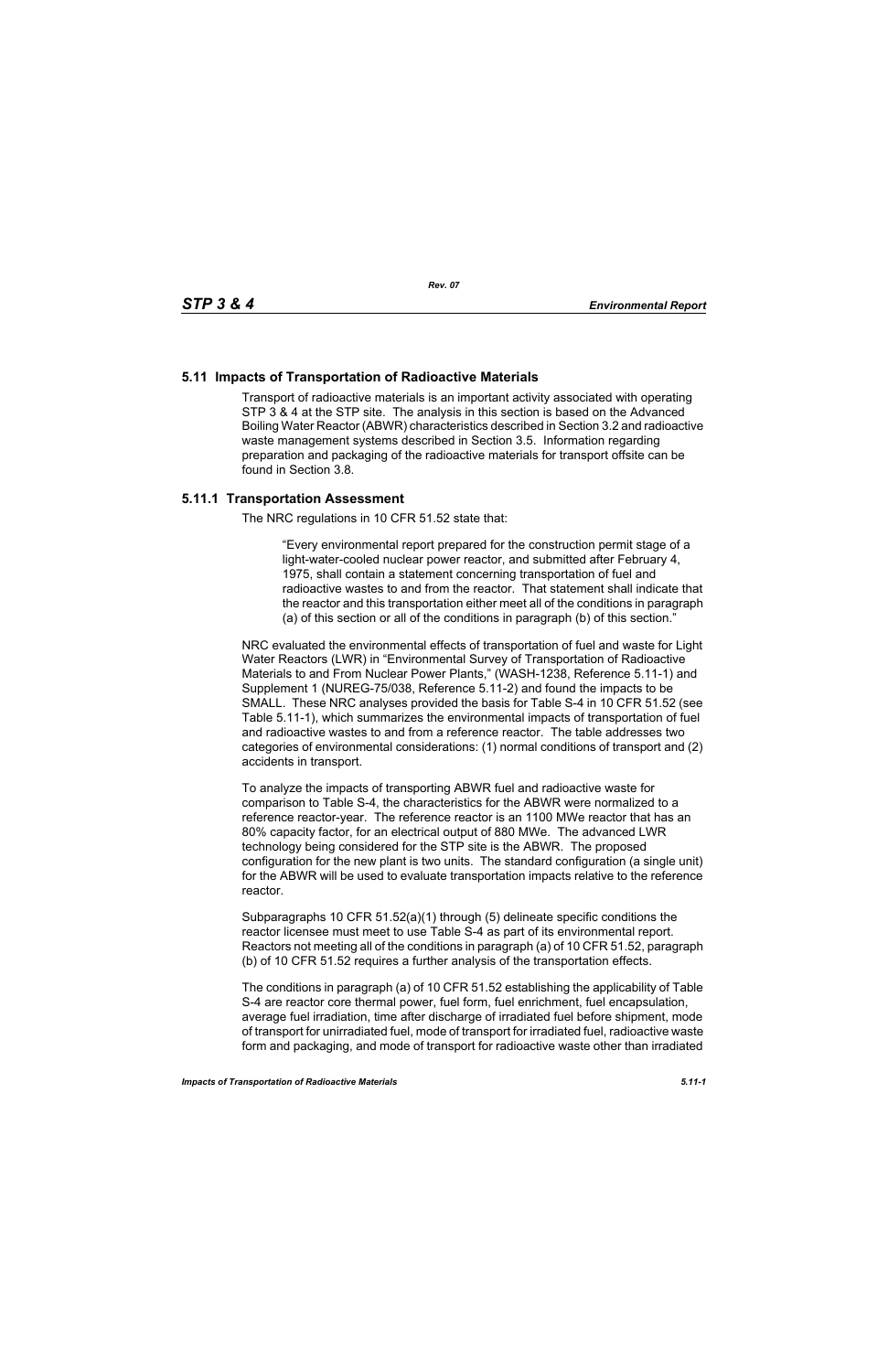# **5.11 Impacts of Transportation of Radioactive Materials**

Transport of radioactive materials is an important activity associated with operating STP 3 & 4 at the STP site. The analysis in this section is based on the Advanced Boiling Water Reactor (ABWR) characteristics described in Section 3.2 and radioactive waste management systems described in Section 3.5. Information regarding preparation and packaging of the radioactive materials for transport offsite can be found in Section 3.8.

# **5.11.1 Transportation Assessment**

The NRC regulations in 10 CFR 51.52 state that:

"Every environmental report prepared for the construction permit stage of a light-water-cooled nuclear power reactor, and submitted after February 4, 1975, shall contain a statement concerning transportation of fuel and radioactive wastes to and from the reactor. That statement shall indicate that the reactor and this transportation either meet all of the conditions in paragraph (a) of this section or all of the conditions in paragraph (b) of this section."

NRC evaluated the environmental effects of transportation of fuel and waste for Light Water Reactors (LWR) in "Environmental Survey of Transportation of Radioactive Materials to and From Nuclear Power Plants," (WASH-1238, Reference 5.11-1) and Supplement 1 (NUREG-75/038, Reference 5.11-2) and found the impacts to be SMALL. These NRC analyses provided the basis for Table S-4 in 10 CFR 51.52 (see Table 5.11-1), which summarizes the environmental impacts of transportation of fuel and radioactive wastes to and from a reference reactor. The table addresses two categories of environmental considerations: (1) normal conditions of transport and (2) accidents in transport.

To analyze the impacts of transporting ABWR fuel and radioactive waste for comparison to Table S-4, the characteristics for the ABWR were normalized to a reference reactor-year. The reference reactor is an 1100 MWe reactor that has an 80% capacity factor, for an electrical output of 880 MWe. The advanced LWR technology being considered for the STP site is the ABWR. The proposed configuration for the new plant is two units. The standard configuration (a single unit) for the ABWR will be used to evaluate transportation impacts relative to the reference reactor.

Subparagraphs 10 CFR 51.52(a)(1) through (5) delineate specific conditions the reactor licensee must meet to use Table S-4 as part of its environmental report. Reactors not meeting all of the conditions in paragraph (a) of 10 CFR 51.52, paragraph (b) of 10 CFR 51.52 requires a further analysis of the transportation effects.

The conditions in paragraph (a) of 10 CFR 51.52 establishing the applicability of Table S-4 are reactor core thermal power, fuel form, fuel enrichment, fuel encapsulation, average fuel irradiation, time after discharge of irradiated fuel before shipment, mode of transport for unirradiated fuel, mode of transport for irradiated fuel, radioactive waste form and packaging, and mode of transport for radioactive waste other than irradiated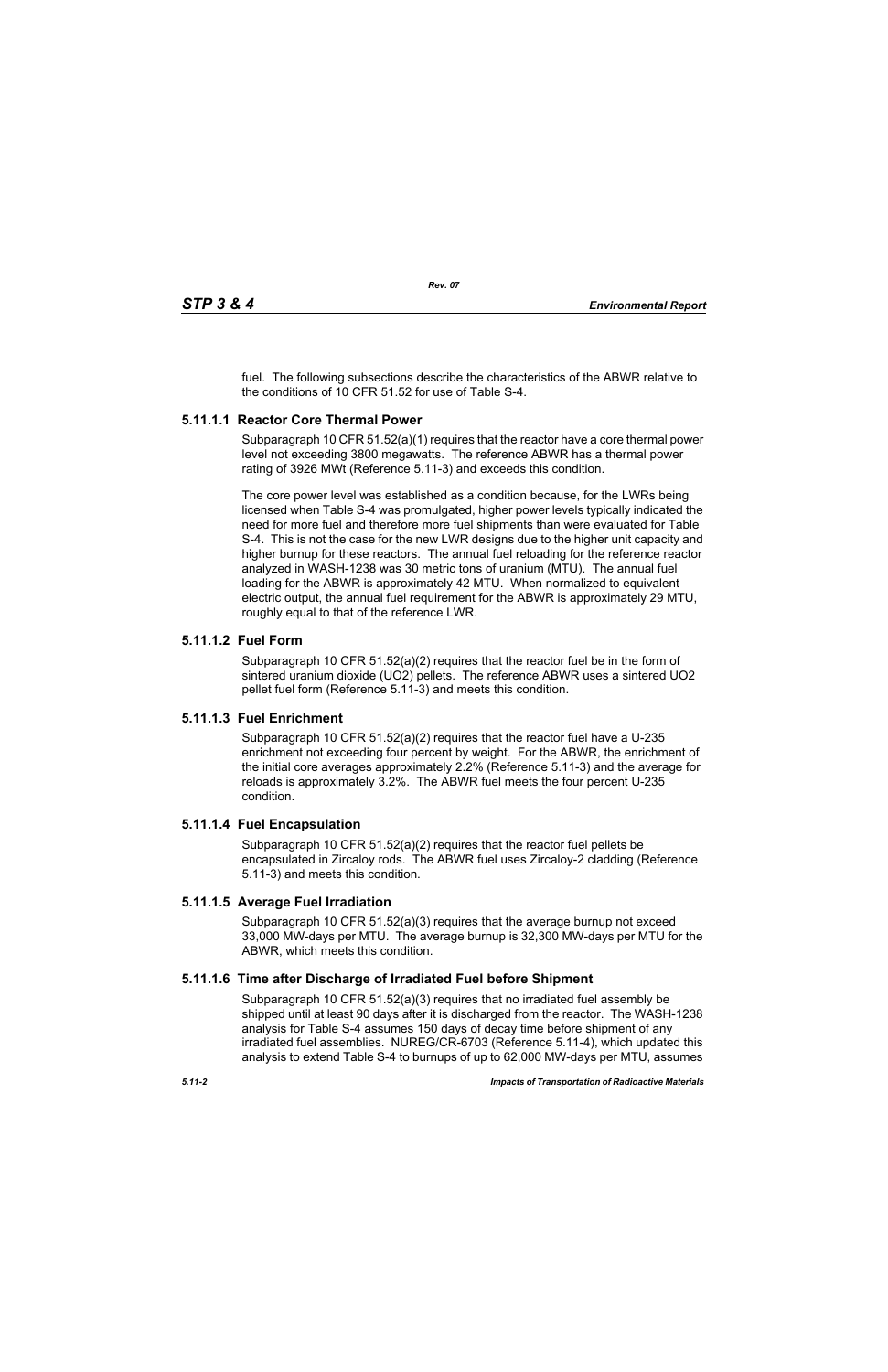fuel. The following subsections describe the characteristics of the ABWR relative to the conditions of 10 CFR 51.52 for use of Table S-4.

# **5.11.1.1 Reactor Core Thermal Power**

Subparagraph 10 CFR 51.52(a)(1) requires that the reactor have a core thermal power level not exceeding 3800 megawatts. The reference ABWR has a thermal power rating of 3926 MWt (Reference 5.11-3) and exceeds this condition.

The core power level was established as a condition because, for the LWRs being licensed when Table S-4 was promulgated, higher power levels typically indicated the need for more fuel and therefore more fuel shipments than were evaluated for Table S-4. This is not the case for the new LWR designs due to the higher unit capacity and higher burnup for these reactors. The annual fuel reloading for the reference reactor analyzed in WASH-1238 was 30 metric tons of uranium (MTU). The annual fuel loading for the ABWR is approximately 42 MTU. When normalized to equivalent electric output, the annual fuel requirement for the ABWR is approximately 29 MTU, roughly equal to that of the reference LWR.

# **5.11.1.2 Fuel Form**

Subparagraph 10 CFR 51.52(a)(2) requires that the reactor fuel be in the form of sintered uranium dioxide (UO2) pellets. The reference ABWR uses a sintered UO2 pellet fuel form (Reference 5.11-3) and meets this condition.

# **5.11.1.3 Fuel Enrichment**

Subparagraph 10 CFR 51.52(a)(2) requires that the reactor fuel have a U-235 enrichment not exceeding four percent by weight. For the ABWR, the enrichment of the initial core averages approximately 2.2% (Reference 5.11-3) and the average for reloads is approximately 3.2%. The ABWR fuel meets the four percent U-235 condition.

# **5.11.1.4 Fuel Encapsulation**

Subparagraph 10 CFR 51.52(a)(2) requires that the reactor fuel pellets be encapsulated in Zircaloy rods. The ABWR fuel uses Zircaloy-2 cladding (Reference 5.11-3) and meets this condition.

# **5.11.1.5 Average Fuel Irradiation**

Subparagraph 10 CFR  $51.52(a)(3)$  requires that the average burnup not exceed 33,000 MW-days per MTU. The average burnup is 32,300 MW-days per MTU for the ABWR, which meets this condition.

# **5.11.1.6 Time after Discharge of Irradiated Fuel before Shipment**

Subparagraph 10 CFR 51.52(a)(3) requires that no irradiated fuel assembly be shipped until at least 90 days after it is discharged from the reactor. The WASH-1238 analysis for Table S-4 assumes 150 days of decay time before shipment of any irradiated fuel assemblies. NUREG/CR-6703 (Reference 5.11-4), which updated this analysis to extend Table S-4 to burnups of up to 62,000 MW-days per MTU, assumes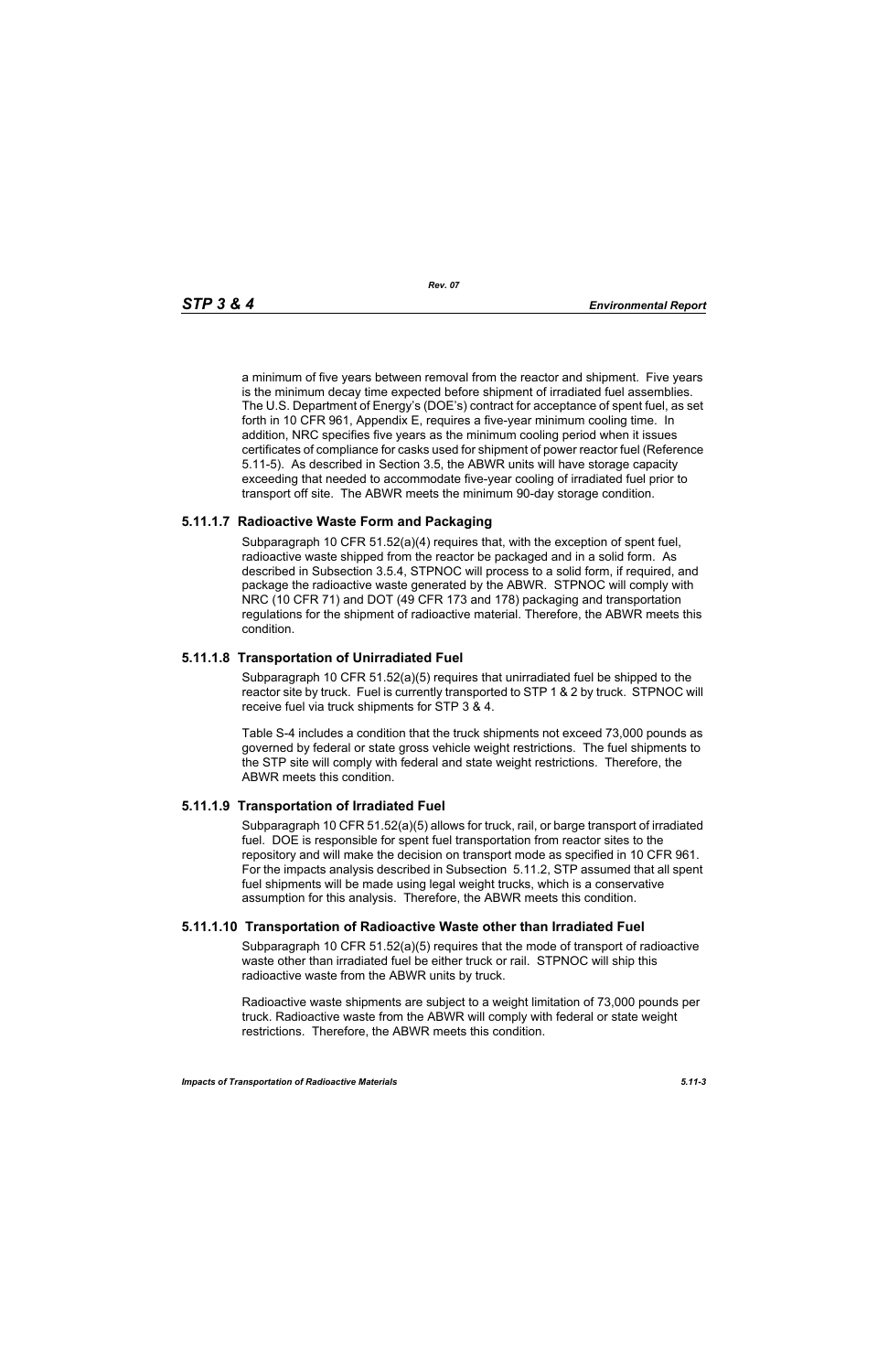a minimum of five years between removal from the reactor and shipment. Five years is the minimum decay time expected before shipment of irradiated fuel assemblies. The U.S. Department of Energy's (DOE's) contract for acceptance of spent fuel, as set forth in 10 CFR 961, Appendix E, requires a five-year minimum cooling time. In addition, NRC specifies five years as the minimum cooling period when it issues certificates of compliance for casks used for shipment of power reactor fuel (Reference 5.11-5). As described in Section 3.5, the ABWR units will have storage capacity exceeding that needed to accommodate five-year cooling of irradiated fuel prior to transport off site. The ABWR meets the minimum 90-day storage condition.

# **5.11.1.7 Radioactive Waste Form and Packaging**

Subparagraph 10 CFR 51.52(a)(4) requires that, with the exception of spent fuel, radioactive waste shipped from the reactor be packaged and in a solid form. As described in Subsection 3.5.4, STPNOC will process to a solid form, if required, and package the radioactive waste generated by the ABWR. STPNOC will comply with NRC (10 CFR 71) and DOT (49 CFR 173 and 178) packaging and transportation regulations for the shipment of radioactive material. Therefore, the ABWR meets this condition.

# **5.11.1.8 Transportation of Unirradiated Fuel**

Subparagraph 10 CFR 51.52(a)(5) requires that unirradiated fuel be shipped to the reactor site by truck. Fuel is currently transported to STP 1 & 2 by truck. STPNOC will receive fuel via truck shipments for STP 3 & 4.

Table S-4 includes a condition that the truck shipments not exceed 73,000 pounds as governed by federal or state gross vehicle weight restrictions. The fuel shipments to the STP site will comply with federal and state weight restrictions. Therefore, the ABWR meets this condition.

# **5.11.1.9 Transportation of Irradiated Fuel**

Subparagraph 10 CFR 51.52(a)(5) allows for truck, rail, or barge transport of irradiated fuel. DOE is responsible for spent fuel transportation from reactor sites to the repository and will make the decision on transport mode as specified in 10 CFR 961. For the impacts analysis described in Subsection 5.11.2, STP assumed that all spent fuel shipments will be made using legal weight trucks, which is a conservative assumption for this analysis. Therefore, the ABWR meets this condition.

# **5.11.1.10 Transportation of Radioactive Waste other than Irradiated Fuel**

Subparagraph 10 CFR 51.52(a)(5) requires that the mode of transport of radioactive waste other than irradiated fuel be either truck or rail. STPNOC will ship this radioactive waste from the ABWR units by truck.

Radioactive waste shipments are subject to a weight limitation of 73,000 pounds per truck. Radioactive waste from the ABWR will comply with federal or state weight restrictions. Therefore, the ABWR meets this condition.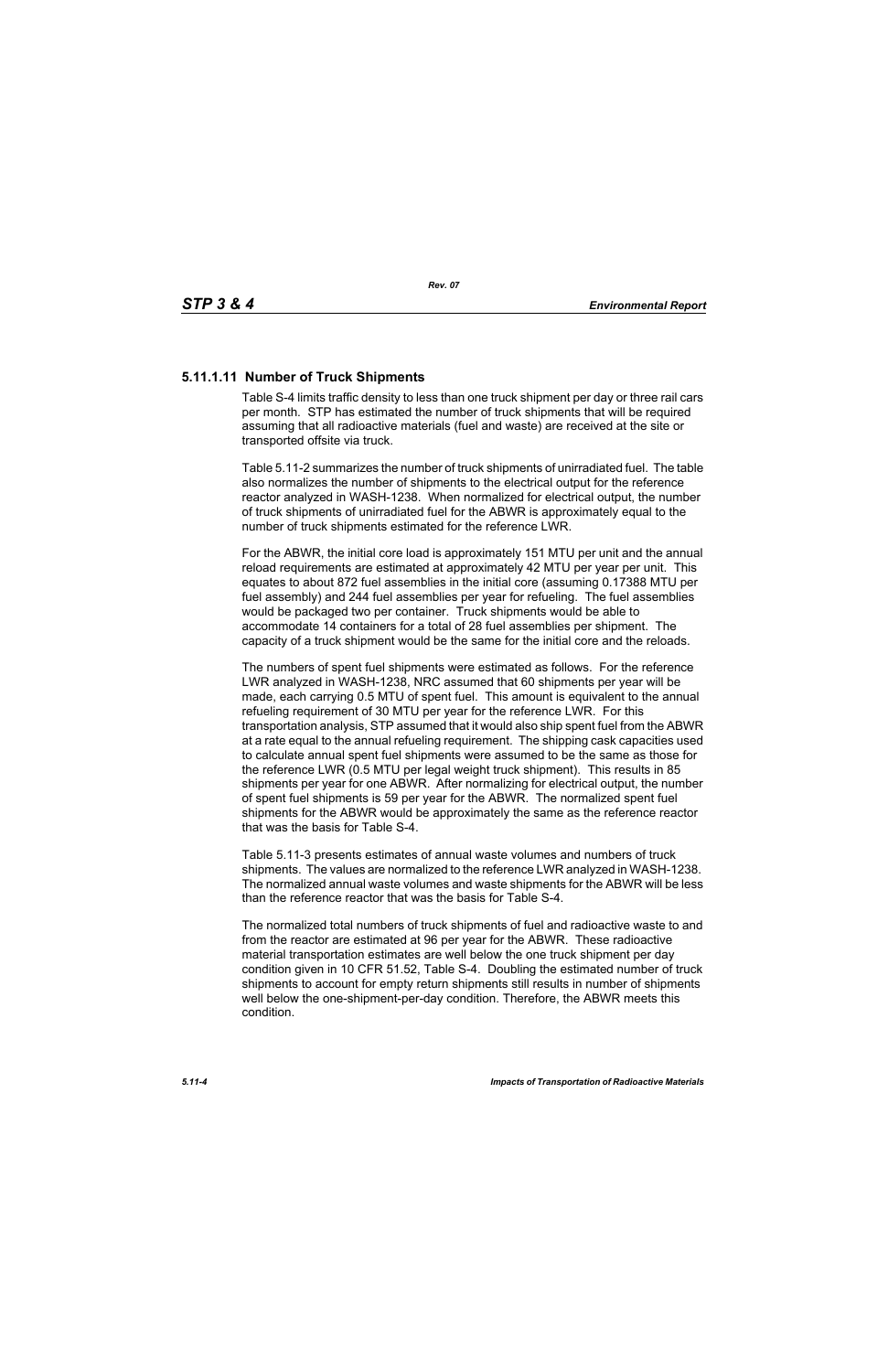# **5.11.1.11 Number of Truck Shipments**

Table S-4 limits traffic density to less than one truck shipment per day or three rail cars per month. STP has estimated the number of truck shipments that will be required assuming that all radioactive materials (fuel and waste) are received at the site or transported offsite via truck.

Table 5.11-2 summarizes the number of truck shipments of unirradiated fuel. The table also normalizes the number of shipments to the electrical output for the reference reactor analyzed in WASH-1238. When normalized for electrical output, the number of truck shipments of unirradiated fuel for the ABWR is approximately equal to the number of truck shipments estimated for the reference LWR.

For the ABWR, the initial core load is approximately 151 MTU per unit and the annual reload requirements are estimated at approximately 42 MTU per year per unit. This equates to about 872 fuel assemblies in the initial core (assuming 0.17388 MTU per fuel assembly) and 244 fuel assemblies per year for refueling. The fuel assemblies would be packaged two per container. Truck shipments would be able to accommodate 14 containers for a total of 28 fuel assemblies per shipment. The capacity of a truck shipment would be the same for the initial core and the reloads.

The numbers of spent fuel shipments were estimated as follows. For the reference LWR analyzed in WASH-1238, NRC assumed that 60 shipments per year will be made, each carrying 0.5 MTU of spent fuel. This amount is equivalent to the annual refueling requirement of 30 MTU per year for the reference LWR. For this transportation analysis, STP assumed that it would also ship spent fuel from the ABWR at a rate equal to the annual refueling requirement. The shipping cask capacities used to calculate annual spent fuel shipments were assumed to be the same as those for the reference LWR (0.5 MTU per legal weight truck shipment). This results in 85 shipments per year for one ABWR. After normalizing for electrical output, the number of spent fuel shipments is 59 per year for the ABWR. The normalized spent fuel shipments for the ABWR would be approximately the same as the reference reactor that was the basis for Table S-4.

Table 5.11-3 presents estimates of annual waste volumes and numbers of truck shipments. The values are normalized to the reference LWR analyzed in WASH-1238. The normalized annual waste volumes and waste shipments for the ABWR will be less than the reference reactor that was the basis for Table S-4.

The normalized total numbers of truck shipments of fuel and radioactive waste to and from the reactor are estimated at 96 per year for the ABWR. These radioactive material transportation estimates are well below the one truck shipment per day condition given in 10 CFR 51.52, Table S-4. Doubling the estimated number of truck shipments to account for empty return shipments still results in number of shipments well below the one-shipment-per-day condition. Therefore, the ABWR meets this condition.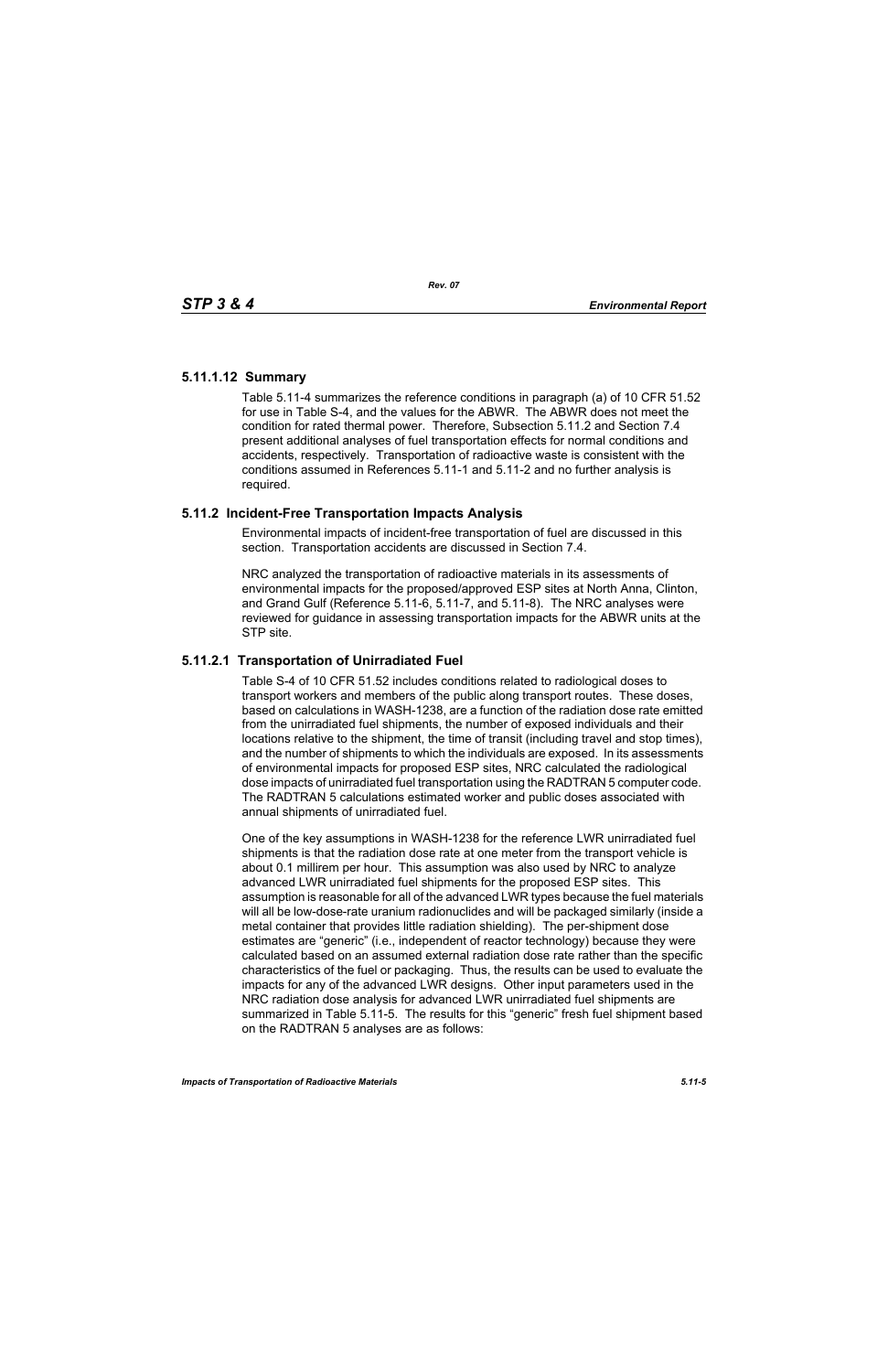# **5.11.1.12 Summary**

Table 5.11-4 summarizes the reference conditions in paragraph (a) of 10 CFR 51.52 for use in Table S-4, and the values for the ABWR. The ABWR does not meet the condition for rated thermal power. Therefore, Subsection 5.11.2 and Section 7.4 present additional analyses of fuel transportation effects for normal conditions and accidents, respectively. Transportation of radioactive waste is consistent with the conditions assumed in References 5.11-1 and 5.11-2 and no further analysis is required.

# **5.11.2 Incident-Free Transportation Impacts Analysis**

Environmental impacts of incident-free transportation of fuel are discussed in this section. Transportation accidents are discussed in Section 7.4.

NRC analyzed the transportation of radioactive materials in its assessments of environmental impacts for the proposed/approved ESP sites at North Anna, Clinton, and Grand Gulf (Reference 5.11-6, 5.11-7, and 5.11-8). The NRC analyses were reviewed for guidance in assessing transportation impacts for the ABWR units at the STP site.

# **5.11.2.1 Transportation of Unirradiated Fuel**

Table S-4 of 10 CFR 51.52 includes conditions related to radiological doses to transport workers and members of the public along transport routes. These doses, based on calculations in WASH-1238, are a function of the radiation dose rate emitted from the unirradiated fuel shipments, the number of exposed individuals and their locations relative to the shipment, the time of transit (including travel and stop times), and the number of shipments to which the individuals are exposed. In its assessments of environmental impacts for proposed ESP sites, NRC calculated the radiological dose impacts of unirradiated fuel transportation using the RADTRAN 5 computer code. The RADTRAN 5 calculations estimated worker and public doses associated with annual shipments of unirradiated fuel.

One of the key assumptions in WASH-1238 for the reference LWR unirradiated fuel shipments is that the radiation dose rate at one meter from the transport vehicle is about 0.1 millirem per hour. This assumption was also used by NRC to analyze advanced LWR unirradiated fuel shipments for the proposed ESP sites. This assumption is reasonable for all of the advanced LWR types because the fuel materials will all be low-dose-rate uranium radionuclides and will be packaged similarly (inside a metal container that provides little radiation shielding). The per-shipment dose estimates are "generic" (i.e., independent of reactor technology) because they were calculated based on an assumed external radiation dose rate rather than the specific characteristics of the fuel or packaging. Thus, the results can be used to evaluate the impacts for any of the advanced LWR designs. Other input parameters used in the NRC radiation dose analysis for advanced LWR unirradiated fuel shipments are summarized in Table 5.11-5. The results for this "generic" fresh fuel shipment based on the RADTRAN 5 analyses are as follows: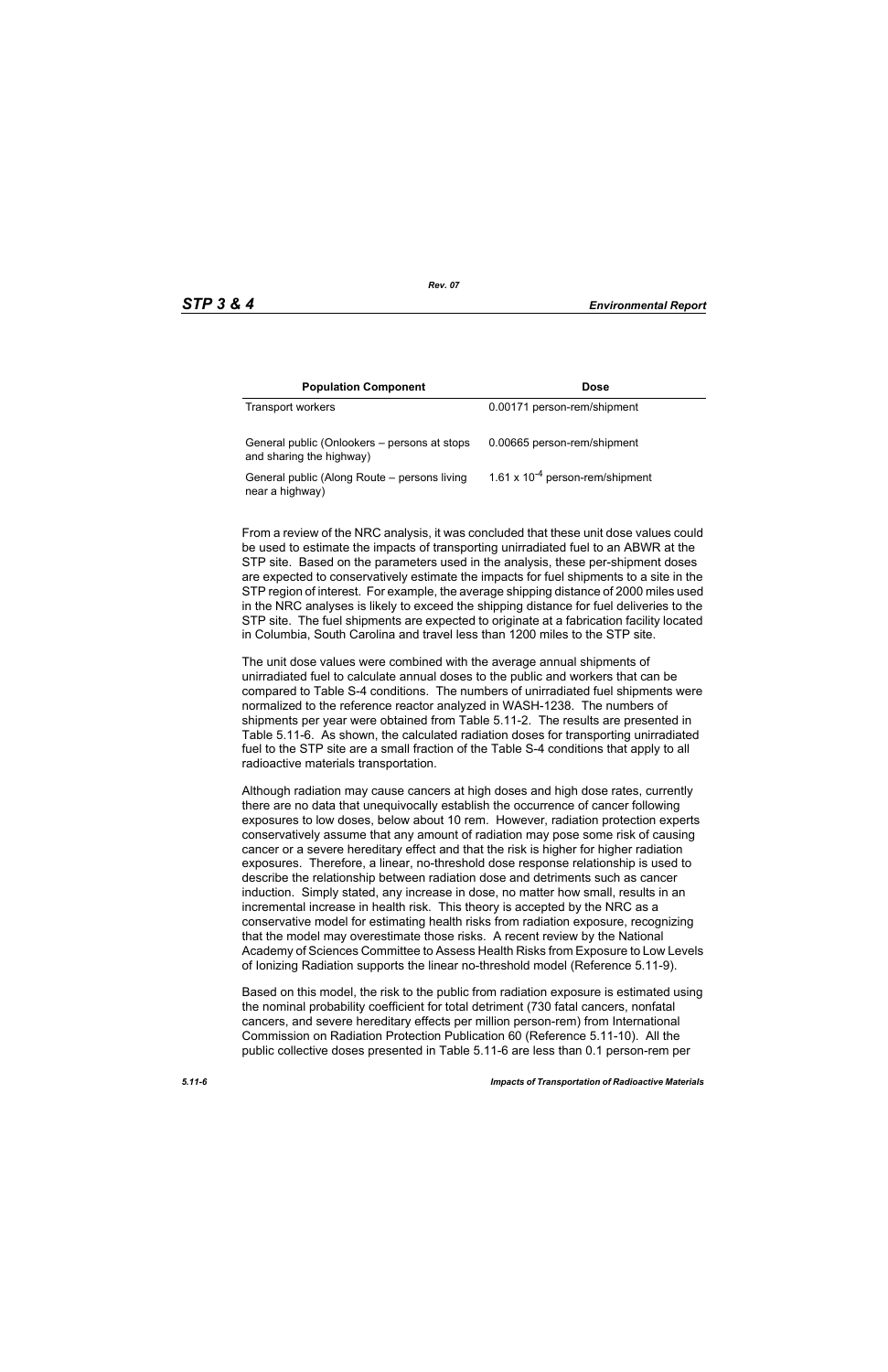| <b>Population Component</b>                                              | <b>Dose</b>                          |
|--------------------------------------------------------------------------|--------------------------------------|
| Transport workers                                                        | 0.00171 person-rem/shipment          |
| General public (Onlookers – persons at stops<br>and sharing the highway) | 0.00665 person-rem/shipment          |
| General public (Along Route – persons living<br>near a highway)          | 1.61 x $10^{-4}$ person-rem/shipment |

From a review of the NRC analysis, it was concluded that these unit dose values could be used to estimate the impacts of transporting unirradiated fuel to an ABWR at the STP site. Based on the parameters used in the analysis, these per-shipment doses are expected to conservatively estimate the impacts for fuel shipments to a site in the STP region of interest. For example, the average shipping distance of 2000 miles used in the NRC analyses is likely to exceed the shipping distance for fuel deliveries to the STP site. The fuel shipments are expected to originate at a fabrication facility located in Columbia, South Carolina and travel less than 1200 miles to the STP site.

The unit dose values were combined with the average annual shipments of unirradiated fuel to calculate annual doses to the public and workers that can be compared to Table S-4 conditions. The numbers of unirradiated fuel shipments were normalized to the reference reactor analyzed in WASH-1238. The numbers of shipments per year were obtained from Table 5.11-2. The results are presented in Table 5.11-6. As shown, the calculated radiation doses for transporting unirradiated fuel to the STP site are a small fraction of the Table S-4 conditions that apply to all radioactive materials transportation.

Although radiation may cause cancers at high doses and high dose rates, currently there are no data that unequivocally establish the occurrence of cancer following exposures to low doses, below about 10 rem. However, radiation protection experts conservatively assume that any amount of radiation may pose some risk of causing cancer or a severe hereditary effect and that the risk is higher for higher radiation exposures. Therefore, a linear, no-threshold dose response relationship is used to describe the relationship between radiation dose and detriments such as cancer induction. Simply stated, any increase in dose, no matter how small, results in an incremental increase in health risk. This theory is accepted by the NRC as a conservative model for estimating health risks from radiation exposure, recognizing that the model may overestimate those risks. A recent review by the National Academy of Sciences Committee to Assess Health Risks from Exposure to Low Levels of Ionizing Radiation supports the linear no-threshold model (Reference 5.11-9).

Based on this model, the risk to the public from radiation exposure is estimated using the nominal probability coefficient for total detriment (730 fatal cancers, nonfatal cancers, and severe hereditary effects per million person-rem) from International Commission on Radiation Protection Publication 60 (Reference 5.11-10). All the public collective doses presented in Table 5.11-6 are less than 0.1 person-rem per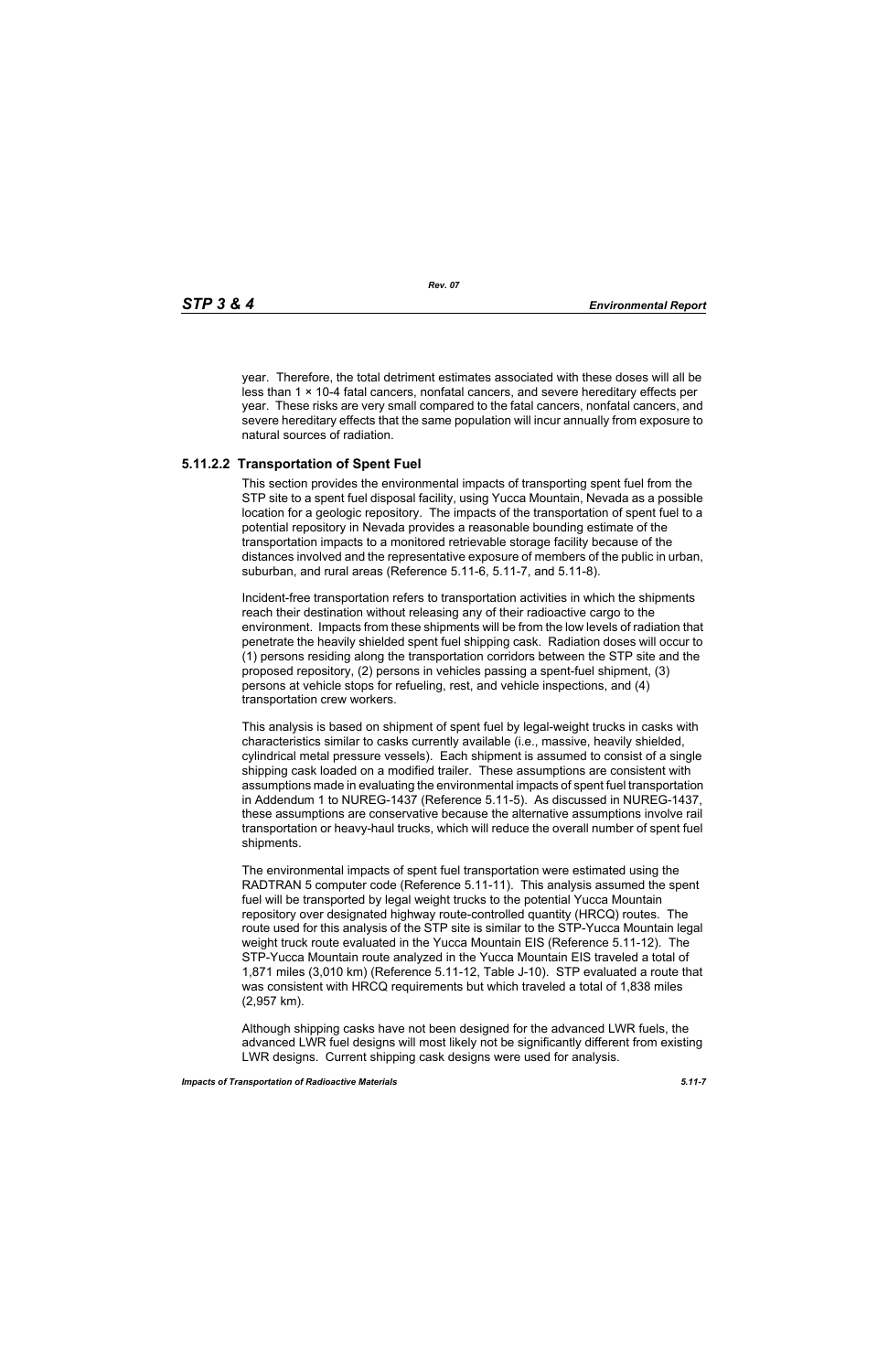year. Therefore, the total detriment estimates associated with these doses will all be less than  $1 \times 10-4$  fatal cancers, nonfatal cancers, and severe hereditary effects per year. These risks are very small compared to the fatal cancers, nonfatal cancers, and severe hereditary effects that the same population will incur annually from exposure to natural sources of radiation.

# **5.11.2.2 Transportation of Spent Fuel**

This section provides the environmental impacts of transporting spent fuel from the STP site to a spent fuel disposal facility, using Yucca Mountain, Nevada as a possible location for a geologic repository. The impacts of the transportation of spent fuel to a potential repository in Nevada provides a reasonable bounding estimate of the transportation impacts to a monitored retrievable storage facility because of the distances involved and the representative exposure of members of the public in urban, suburban, and rural areas (Reference 5.11-6, 5.11-7, and 5.11-8).

Incident-free transportation refers to transportation activities in which the shipments reach their destination without releasing any of their radioactive cargo to the environment. Impacts from these shipments will be from the low levels of radiation that penetrate the heavily shielded spent fuel shipping cask. Radiation doses will occur to (1) persons residing along the transportation corridors between the STP site and the proposed repository, (2) persons in vehicles passing a spent-fuel shipment, (3) persons at vehicle stops for refueling, rest, and vehicle inspections, and (4) transportation crew workers.

This analysis is based on shipment of spent fuel by legal-weight trucks in casks with characteristics similar to casks currently available (i.e., massive, heavily shielded, cylindrical metal pressure vessels). Each shipment is assumed to consist of a single shipping cask loaded on a modified trailer. These assumptions are consistent with assumptions made in evaluating the environmental impacts of spent fuel transportation in Addendum 1 to NUREG-1437 (Reference 5.11-5). As discussed in NUREG-1437, these assumptions are conservative because the alternative assumptions involve rail transportation or heavy-haul trucks, which will reduce the overall number of spent fuel shipments.

The environmental impacts of spent fuel transportation were estimated using the RADTRAN 5 computer code (Reference 5.11-11). This analysis assumed the spent fuel will be transported by legal weight trucks to the potential Yucca Mountain repository over designated highway route-controlled quantity (HRCQ) routes. The route used for this analysis of the STP site is similar to the STP-Yucca Mountain legal weight truck route evaluated in the Yucca Mountain EIS (Reference 5.11-12). The STP-Yucca Mountain route analyzed in the Yucca Mountain EIS traveled a total of 1,871 miles (3,010 km) (Reference 5.11-12, Table J-10). STP evaluated a route that was consistent with HRCQ requirements but which traveled a total of 1,838 miles (2,957 km).

Although shipping casks have not been designed for the advanced LWR fuels, the advanced LWR fuel designs will most likely not be significantly different from existing LWR designs. Current shipping cask designs were used for analysis.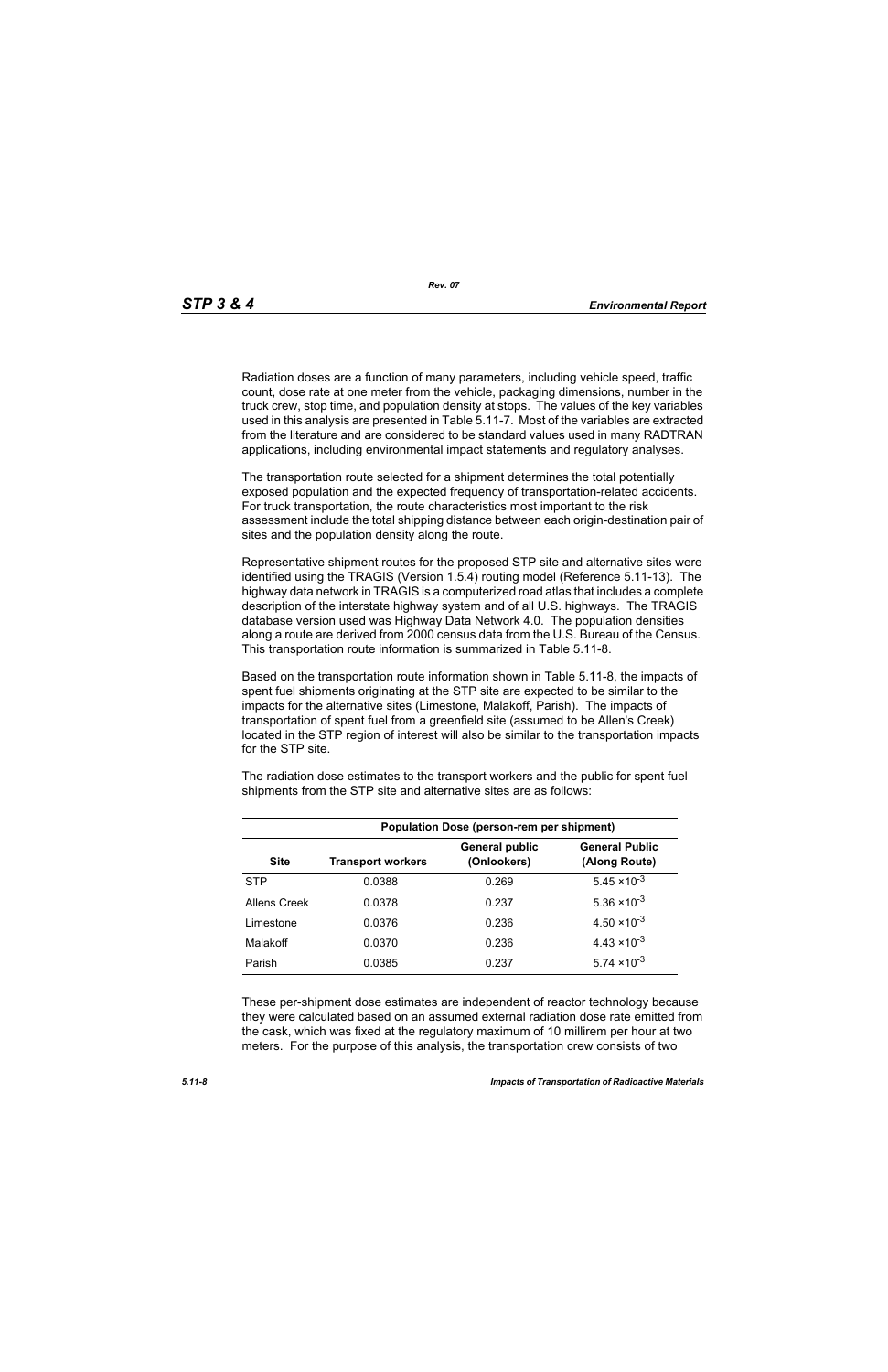Radiation doses are a function of many parameters, including vehicle speed, traffic count, dose rate at one meter from the vehicle, packaging dimensions, number in the truck crew, stop time, and population density at stops. The values of the key variables used in this analysis are presented in Table 5.11-7. Most of the variables are extracted from the literature and are considered to be standard values used in many RADTRAN applications, including environmental impact statements and regulatory analyses.

The transportation route selected for a shipment determines the total potentially exposed population and the expected frequency of transportation-related accidents. For truck transportation, the route characteristics most important to the risk assessment include the total shipping distance between each origin-destination pair of sites and the population density along the route.

Representative shipment routes for the proposed STP site and alternative sites were identified using the TRAGIS (Version 1.5.4) routing model (Reference 5.11-13). The highway data network in TRAGIS is a computerized road atlas that includes a complete description of the interstate highway system and of all U.S. highways. The TRAGIS database version used was Highway Data Network 4.0. The population densities along a route are derived from 2000 census data from the U.S. Bureau of the Census. This transportation route information is summarized in Table 5.11-8.

Based on the transportation route information shown in Table 5.11-8, the impacts of spent fuel shipments originating at the STP site are expected to be similar to the impacts for the alternative sites (Limestone, Malakoff, Parish). The impacts of transportation of spent fuel from a greenfield site (assumed to be Allen's Creek) located in the STP region of interest will also be similar to the transportation impacts for the STP site.

| <b>Population Dose (person-rem per shipment)</b> |                          |                                      |                                        |  |  |
|--------------------------------------------------|--------------------------|--------------------------------------|----------------------------------------|--|--|
| <b>Site</b>                                      | <b>Transport workers</b> | <b>General public</b><br>(Onlookers) | <b>General Public</b><br>(Along Route) |  |  |
| <b>STP</b>                                       | 0.0388                   | 0.269                                | $5.45 \times 10^{-3}$                  |  |  |
| Allens Creek                                     | 0.0378                   | 0.237                                | $5.36 \times 10^{-3}$                  |  |  |
| Limestone                                        | 0.0376                   | 0.236                                | $4.50 \times 10^{-3}$                  |  |  |
| Malakoff                                         | 0.0370                   | 0.236                                | $4.43 \times 10^{-3}$                  |  |  |
| Parish                                           | 0.0385                   | 0.237                                | $5.74 \times 10^{-3}$                  |  |  |

The radiation dose estimates to the transport workers and the public for spent fuel shipments from the STP site and alternative sites are as follows:

These per-shipment dose estimates are independent of reactor technology because they were calculated based on an assumed external radiation dose rate emitted from the cask, which was fixed at the regulatory maximum of 10 millirem per hour at two meters. For the purpose of this analysis, the transportation crew consists of two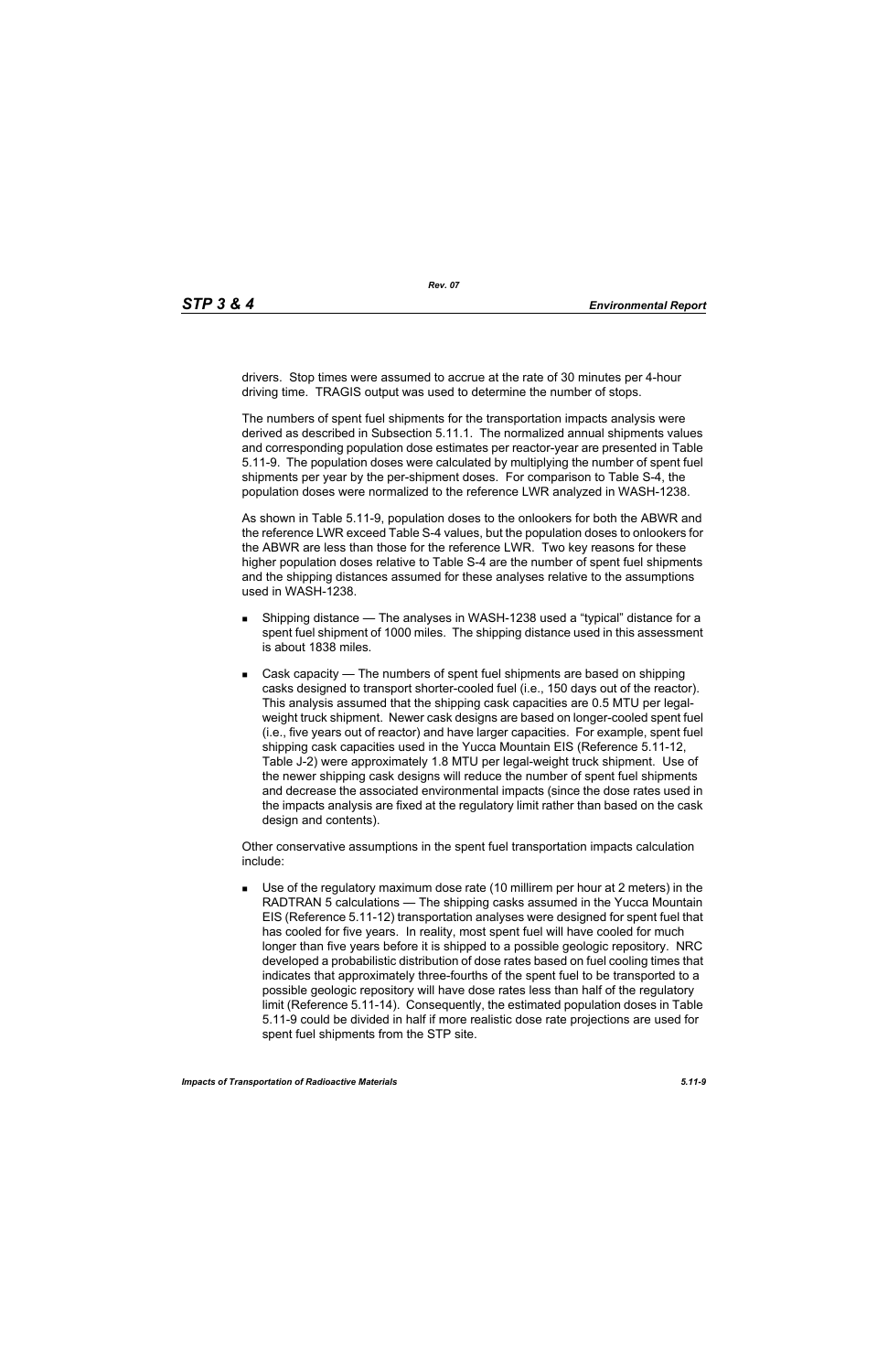drivers. Stop times were assumed to accrue at the rate of 30 minutes per 4-hour driving time. TRAGIS output was used to determine the number of stops.

The numbers of spent fuel shipments for the transportation impacts analysis were derived as described in Subsection 5.11.1. The normalized annual shipments values and corresponding population dose estimates per reactor-year are presented in Table 5.11-9. The population doses were calculated by multiplying the number of spent fuel shipments per year by the per-shipment doses. For comparison to Table S-4, the population doses were normalized to the reference LWR analyzed in WASH-1238.

As shown in Table 5.11-9, population doses to the onlookers for both the ABWR and the reference LWR exceed Table S-4 values, but the population doses to onlookers for the ABWR are less than those for the reference LWR. Two key reasons for these higher population doses relative to Table S-4 are the number of spent fuel shipments and the shipping distances assumed for these analyses relative to the assumptions used in WASH-1238.

- **Shipping distance The analyses in WASH-1238 used a "typical" distance for a** spent fuel shipment of 1000 miles. The shipping distance used in this assessment is about 1838 miles.
- Cask capacity The numbers of spent fuel shipments are based on shipping casks designed to transport shorter-cooled fuel (i.e., 150 days out of the reactor). This analysis assumed that the shipping cask capacities are 0.5 MTU per legalweight truck shipment. Newer cask designs are based on longer-cooled spent fuel (i.e., five years out of reactor) and have larger capacities. For example, spent fuel shipping cask capacities used in the Yucca Mountain EIS (Reference 5.11-12, Table J-2) were approximately 1.8 MTU per legal-weight truck shipment. Use of the newer shipping cask designs will reduce the number of spent fuel shipments and decrease the associated environmental impacts (since the dose rates used in the impacts analysis are fixed at the regulatory limit rather than based on the cask design and contents).

Other conservative assumptions in the spent fuel transportation impacts calculation include:

 Use of the regulatory maximum dose rate (10 millirem per hour at 2 meters) in the RADTRAN 5 calculations — The shipping casks assumed in the Yucca Mountain EIS (Reference 5.11-12) transportation analyses were designed for spent fuel that has cooled for five years. In reality, most spent fuel will have cooled for much longer than five years before it is shipped to a possible geologic repository. NRC developed a probabilistic distribution of dose rates based on fuel cooling times that indicates that approximately three-fourths of the spent fuel to be transported to a possible geologic repository will have dose rates less than half of the regulatory limit (Reference 5.11-14). Consequently, the estimated population doses in Table 5.11-9 could be divided in half if more realistic dose rate projections are used for spent fuel shipments from the STP site.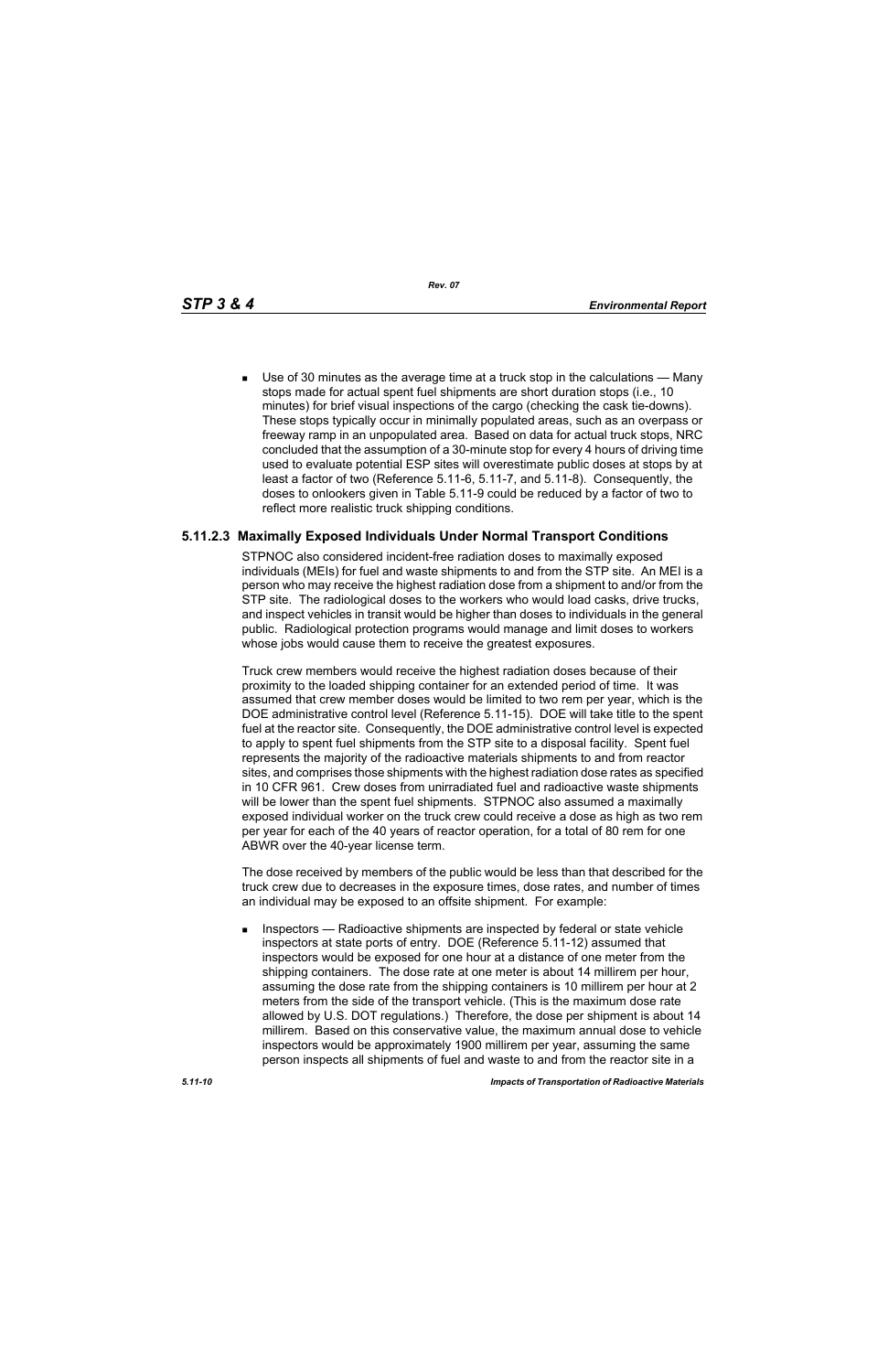*Rev. 07*

 Use of 30 minutes as the average time at a truck stop in the calculations — Many stops made for actual spent fuel shipments are short duration stops (i.e., 10 minutes) for brief visual inspections of the cargo (checking the cask tie-downs). These stops typically occur in minimally populated areas, such as an overpass or freeway ramp in an unpopulated area. Based on data for actual truck stops, NRC concluded that the assumption of a 30-minute stop for every 4 hours of driving time used to evaluate potential ESP sites will overestimate public doses at stops by at least a factor of two (Reference 5.11-6, 5.11-7, and 5.11-8). Consequently, the doses to onlookers given in Table 5.11-9 could be reduced by a factor of two to reflect more realistic truck shipping conditions.

# **5.11.2.3 Maximally Exposed Individuals Under Normal Transport Conditions**

STPNOC also considered incident-free radiation doses to maximally exposed individuals (MEIs) for fuel and waste shipments to and from the STP site. An MEI is a person who may receive the highest radiation dose from a shipment to and/or from the STP site. The radiological doses to the workers who would load casks, drive trucks, and inspect vehicles in transit would be higher than doses to individuals in the general public. Radiological protection programs would manage and limit doses to workers whose jobs would cause them to receive the greatest exposures.

Truck crew members would receive the highest radiation doses because of their proximity to the loaded shipping container for an extended period of time. It was assumed that crew member doses would be limited to two rem per year, which is the DOE administrative control level (Reference 5.11-15). DOE will take title to the spent fuel at the reactor site. Consequently, the DOE administrative control level is expected to apply to spent fuel shipments from the STP site to a disposal facility. Spent fuel represents the majority of the radioactive materials shipments to and from reactor sites, and comprises those shipments with the highest radiation dose rates as specified in 10 CFR 961. Crew doses from unirradiated fuel and radioactive waste shipments will be lower than the spent fuel shipments. STPNOC also assumed a maximally exposed individual worker on the truck crew could receive a dose as high as two rem per year for each of the 40 years of reactor operation, for a total of 80 rem for one ABWR over the 40-year license term.

The dose received by members of the public would be less than that described for the truck crew due to decreases in the exposure times, dose rates, and number of times an individual may be exposed to an offsite shipment. For example:

**Inspectors** — Radioactive shipments are inspected by federal or state vehicle inspectors at state ports of entry. DOE (Reference 5.11-12) assumed that inspectors would be exposed for one hour at a distance of one meter from the shipping containers. The dose rate at one meter is about 14 millirem per hour, assuming the dose rate from the shipping containers is 10 millirem per hour at 2 meters from the side of the transport vehicle. (This is the maximum dose rate allowed by U.S. DOT regulations.) Therefore, the dose per shipment is about 14 millirem. Based on this conservative value, the maximum annual dose to vehicle inspectors would be approximately 1900 millirem per year, assuming the same person inspects all shipments of fuel and waste to and from the reactor site in a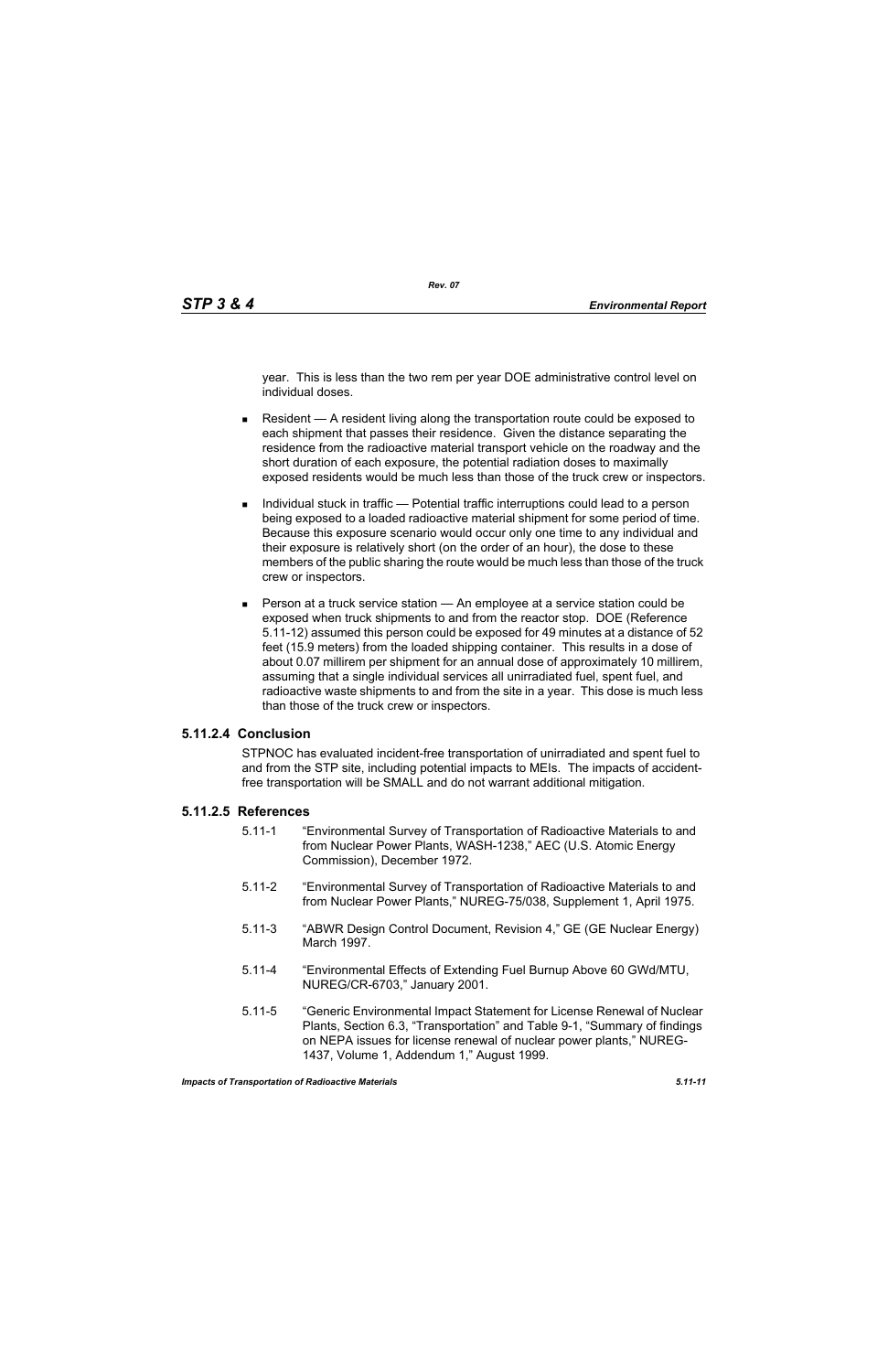year. This is less than the two rem per year DOE administrative control level on individual doses.

- Resident  $A$  resident living along the transportation route could be exposed to each shipment that passes their residence. Given the distance separating the residence from the radioactive material transport vehicle on the roadway and the short duration of each exposure, the potential radiation doses to maximally exposed residents would be much less than those of the truck crew or inspectors.
- Individual stuck in traffic Potential traffic interruptions could lead to a person being exposed to a loaded radioactive material shipment for some period of time. Because this exposure scenario would occur only one time to any individual and their exposure is relatively short (on the order of an hour), the dose to these members of the public sharing the route would be much less than those of the truck crew or inspectors.
- **Person at a truck service station An employee at a service station could be** exposed when truck shipments to and from the reactor stop. DOE (Reference 5.11-12) assumed this person could be exposed for 49 minutes at a distance of 52 feet (15.9 meters) from the loaded shipping container. This results in a dose of about 0.07 millirem per shipment for an annual dose of approximately 10 millirem, assuming that a single individual services all unirradiated fuel, spent fuel, and radioactive waste shipments to and from the site in a year. This dose is much less than those of the truck crew or inspectors.

#### **5.11.2.4 Conclusion**

STPNOC has evaluated incident-free transportation of unirradiated and spent fuel to and from the STP site, including potential impacts to MEIs. The impacts of accidentfree transportation will be SMALL and do not warrant additional mitigation.

#### **5.11.2.5 References**

- 5.11-1 "Environmental Survey of Transportation of Radioactive Materials to and from Nuclear Power Plants, WASH-1238," AEC (U.S. Atomic Energy Commission), December 1972.
- 5.11-2 "Environmental Survey of Transportation of Radioactive Materials to and from Nuclear Power Plants," NUREG-75/038, Supplement 1, April 1975.
- 5.11-3 "ABWR Design Control Document, Revision 4," GE (GE Nuclear Energy) March 1997.
- 5.11-4 "Environmental Effects of Extending Fuel Burnup Above 60 GWd/MTU, NUREG/CR-6703," January 2001.
- 5.11-5 "Generic Environmental Impact Statement for License Renewal of Nuclear Plants, Section 6.3, "Transportation" and Table 9-1, "Summary of findings on NEPA issues for license renewal of nuclear power plants," NUREG-1437, Volume 1, Addendum 1," August 1999.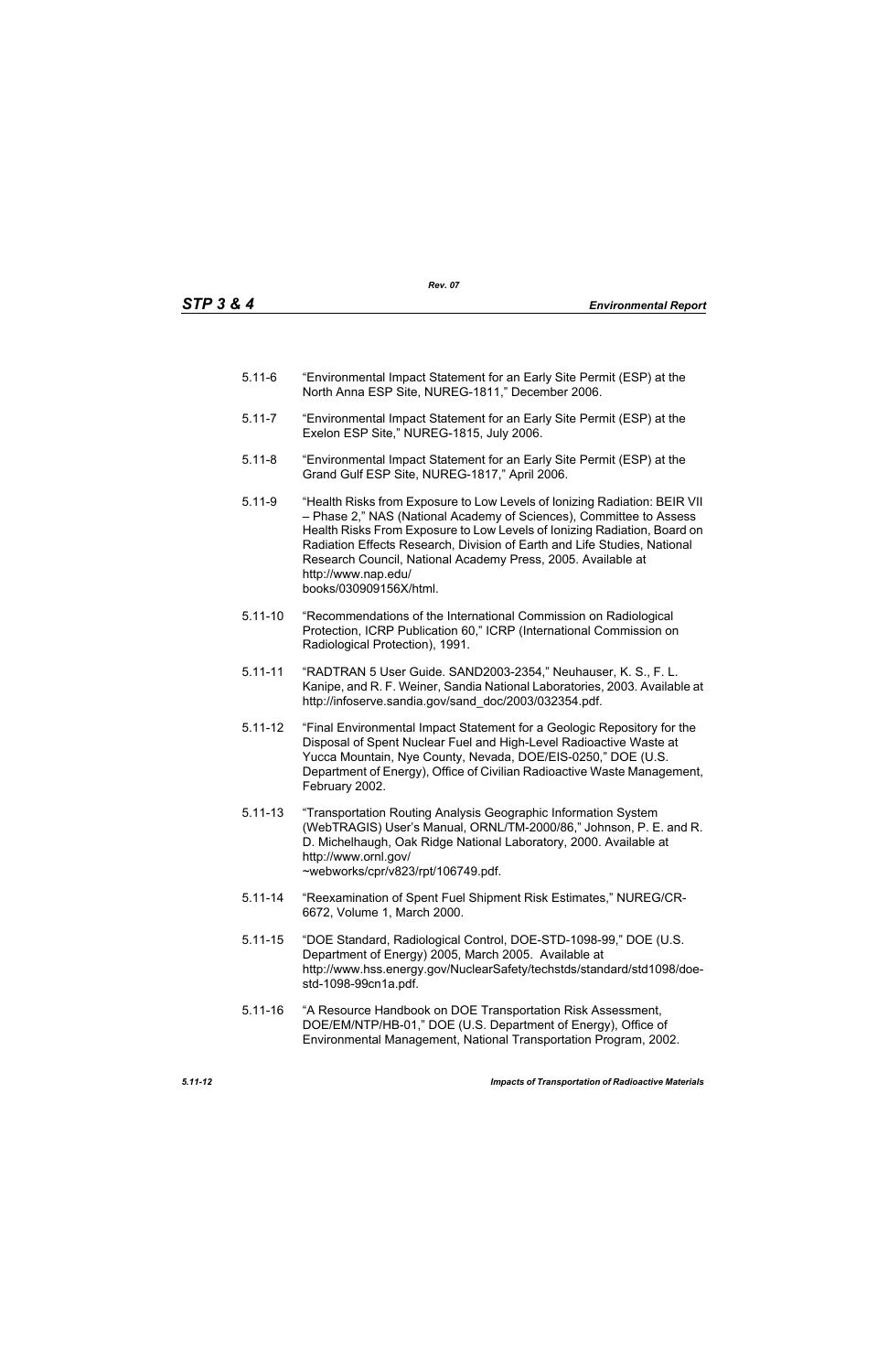- 5.11-6 "Environmental Impact Statement for an Early Site Permit (ESP) at the North Anna ESP Site, NUREG-1811," December 2006.
- 5.11-7 "Environmental Impact Statement for an Early Site Permit (ESP) at the Exelon ESP Site," NUREG-1815, July 2006.
- 5.11-8 "Environmental Impact Statement for an Early Site Permit (ESP) at the Grand Gulf ESP Site, NUREG-1817," April 2006.
- 5.11-9 "Health Risks from Exposure to Low Levels of Ionizing Radiation: BEIR VII – Phase 2," NAS (National Academy of Sciences), Committee to Assess Health Risks From Exposure to Low Levels of Ionizing Radiation, Board on Radiation Effects Research, Division of Earth and Life Studies, National Research Council, National Academy Press, 2005. Available at http://www.nap.edu/ books/030909156X/html.
- 5.11-10 "Recommendations of the International Commission on Radiological Protection, ICRP Publication 60," ICRP (International Commission on Radiological Protection), 1991.
- 5.11-11 "RADTRAN 5 User Guide. SAND2003-2354," Neuhauser, K. S., F. L. Kanipe, and R. F. Weiner, Sandia National Laboratories, 2003. Available at http://infoserve.sandia.gov/sand\_doc/2003/032354.pdf.
- 5.11-12 "Final Environmental Impact Statement for a Geologic Repository for the Disposal of Spent Nuclear Fuel and High-Level Radioactive Waste at Yucca Mountain, Nye County, Nevada, DOE/EIS-0250," DOE (U.S. Department of Energy), Office of Civilian Radioactive Waste Management, February 2002.
- 5.11-13 "Transportation Routing Analysis Geographic Information System (WebTRAGIS) User's Manual, ORNL/TM-2000/86," Johnson, P. E. and R. D. Michelhaugh, Oak Ridge National Laboratory, 2000. Available at http://www.ornl.gov/ ~webworks/cpr/v823/rpt/106749.pdf.
- 5.11-14 "Reexamination of Spent Fuel Shipment Risk Estimates," NUREG/CR-6672, Volume 1, March 2000.
- 5.11-15 "DOE Standard, Radiological Control, DOE-STD-1098-99," DOE (U.S. Department of Energy) 2005, March 2005. Available at http://www.hss.energy.gov/NuclearSafety/techstds/standard/std1098/doestd-1098-99cn1a.pdf.
- 5.11-16 "A Resource Handbook on DOE Transportation Risk Assessment, DOE/EM/NTP/HB-01," DOE (U.S. Department of Energy), Office of Environmental Management, National Transportation Program, 2002.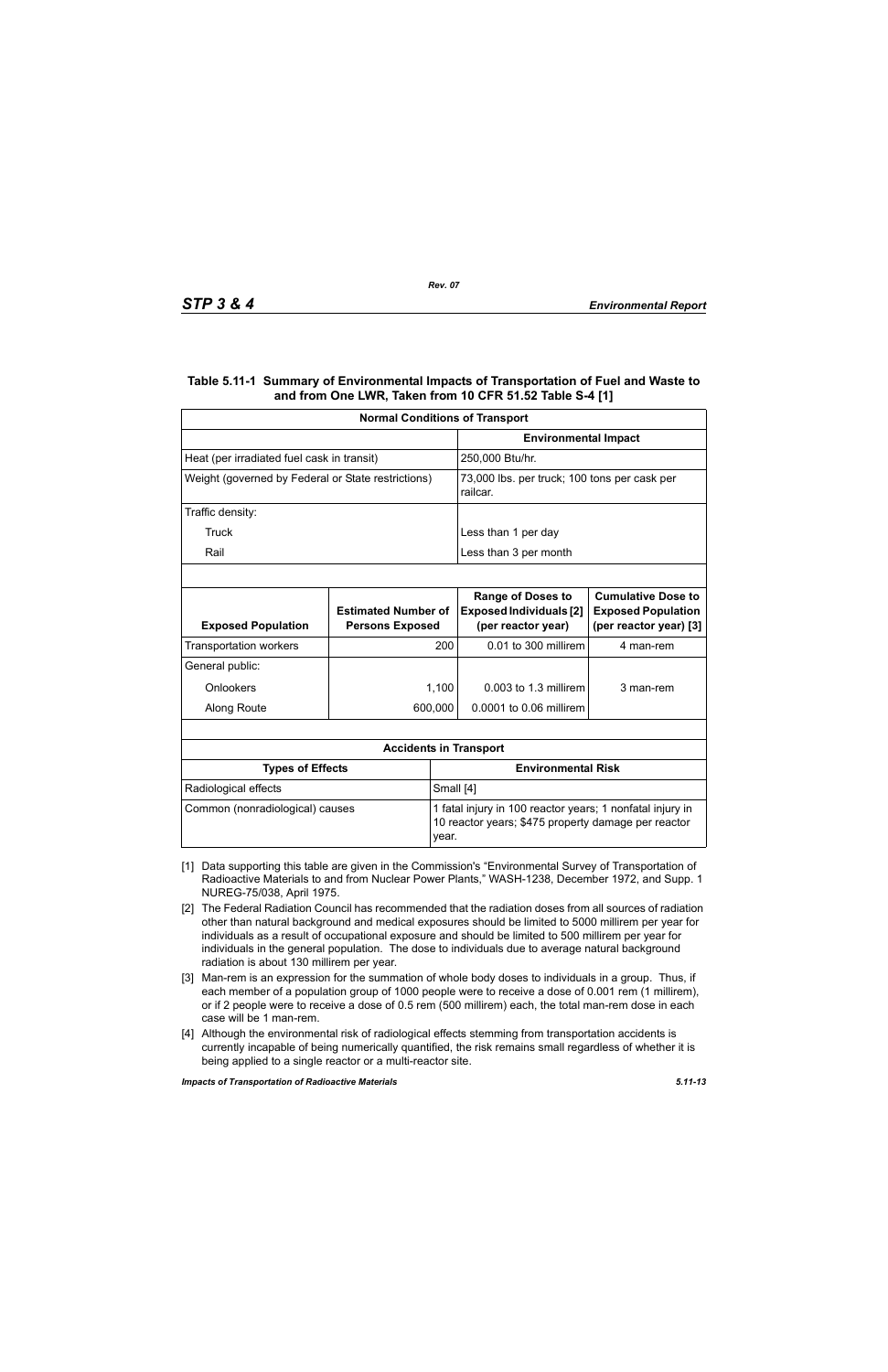#### **Table 5.11-1 Summary of Environmental Impacts of Transportation of Fuel and Waste to and from One LWR, Taken from 10 CFR 51.52 Table S-4 [1]**

| <b>Normal Conditions of Transport</b>              |                                                      |           |                                                                                                                  |                                                                                  |  |
|----------------------------------------------------|------------------------------------------------------|-----------|------------------------------------------------------------------------------------------------------------------|----------------------------------------------------------------------------------|--|
|                                                    |                                                      |           | <b>Environmental Impact</b>                                                                                      |                                                                                  |  |
| Heat (per irradiated fuel cask in transit)         |                                                      |           | 250,000 Btu/hr.                                                                                                  |                                                                                  |  |
| Weight (governed by Federal or State restrictions) |                                                      |           | 73,000 lbs. per truck; 100 tons per cask per<br>railcar.                                                         |                                                                                  |  |
| Traffic density:                                   |                                                      |           |                                                                                                                  |                                                                                  |  |
| Truck                                              |                                                      |           | Less than 1 per day                                                                                              |                                                                                  |  |
| Rail                                               |                                                      |           | Less than 3 per month                                                                                            |                                                                                  |  |
|                                                    |                                                      |           |                                                                                                                  |                                                                                  |  |
| <b>Exposed Population</b>                          | <b>Estimated Number of</b><br><b>Persons Exposed</b> |           | <b>Range of Doses to</b><br><b>Exposed Individuals [2]</b><br>(per reactor year)                                 | <b>Cumulative Dose to</b><br><b>Exposed Population</b><br>(per reactor year) [3] |  |
| <b>Transportation workers</b>                      |                                                      | 200       | 0.01 to 300 millirem                                                                                             | 4 man-rem                                                                        |  |
| General public:                                    |                                                      |           |                                                                                                                  |                                                                                  |  |
| Onlookers                                          |                                                      | 1,100     | $0.003$ to 1.3 millirem                                                                                          | 3 man-rem                                                                        |  |
| Along Route                                        |                                                      | 600,000   | 0.0001 to 0.06 millirem                                                                                          |                                                                                  |  |
|                                                    |                                                      |           |                                                                                                                  |                                                                                  |  |
|                                                    |                                                      |           | <b>Accidents in Transport</b>                                                                                    |                                                                                  |  |
| <b>Types of Effects</b>                            |                                                      |           | <b>Environmental Risk</b>                                                                                        |                                                                                  |  |
| Radiological effects                               |                                                      | Small [4] |                                                                                                                  |                                                                                  |  |
| Common (nonradiological) causes                    |                                                      | year.     | 1 fatal injury in 100 reactor years; 1 nonfatal injury in<br>10 reactor years; \$475 property damage per reactor |                                                                                  |  |

- [1] Data supporting this table are given in the Commission's "Environmental Survey of Transportation of Radioactive Materials to and from Nuclear Power Plants," WASH-1238, December 1972, and Supp. 1 NUREG-75/038, April 1975.
- [2] The Federal Radiation Council has recommended that the radiation doses from all sources of radiation other than natural background and medical exposures should be limited to 5000 millirem per year for individuals as a result of occupational exposure and should be limited to 500 millirem per year for individuals in the general population. The dose to individuals due to average natural background radiation is about 130 millirem per year.
- [3] Man-rem is an expression for the summation of whole body doses to individuals in a group. Thus, if each member of a population group of 1000 people were to receive a dose of 0.001 rem (1 millirem), or if 2 people were to receive a dose of 0.5 rem (500 millirem) each, the total man-rem dose in each case will be 1 man-rem.
- [4] Although the environmental risk of radiological effects stemming from transportation accidents is currently incapable of being numerically quantified, the risk remains small regardless of whether it is being applied to a single reactor or a multi-reactor site.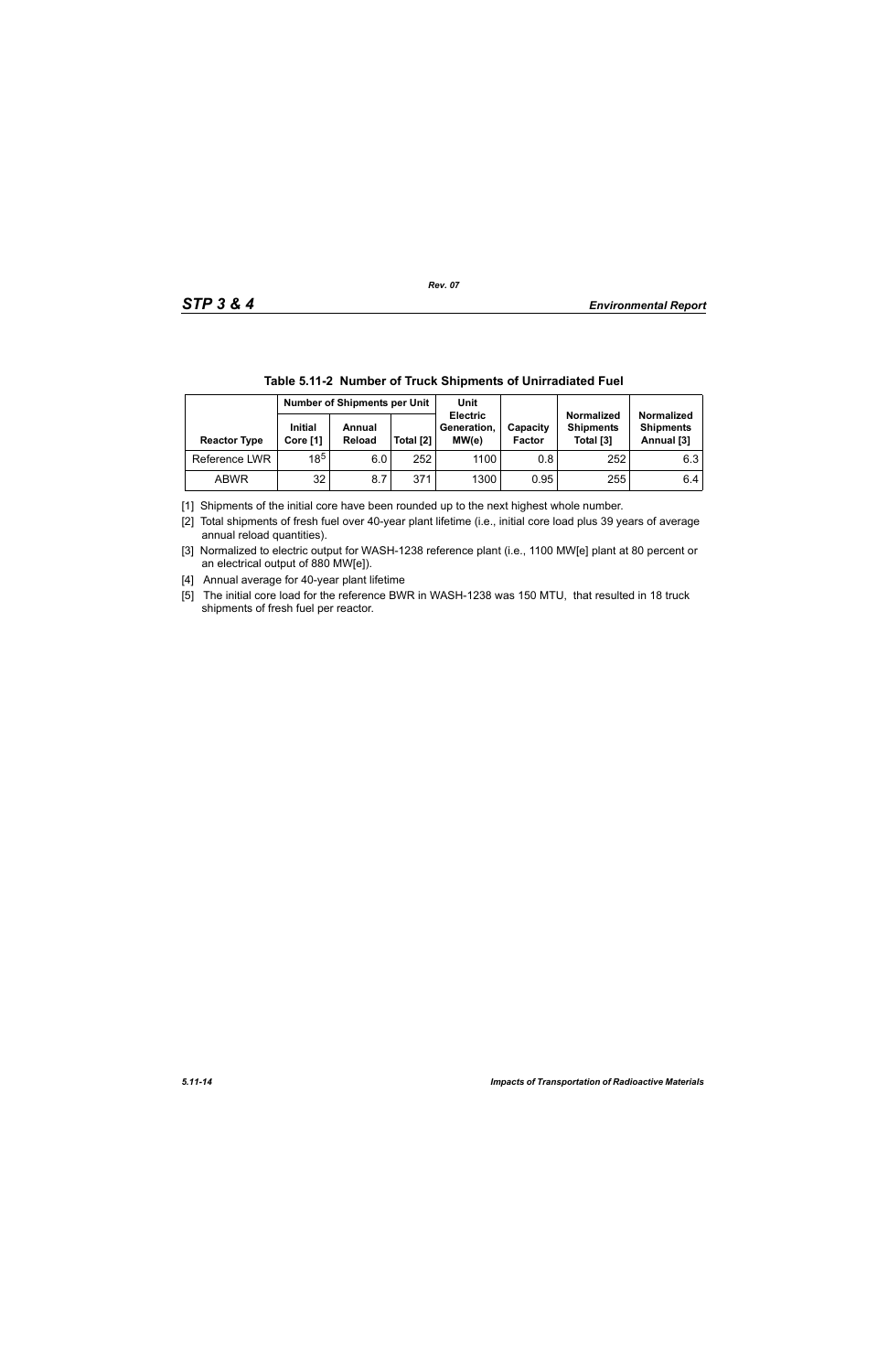|                     | IWWIV VIII 28. IVWIIIIWVI VI IIWVI\ VIIIIWIIIVV VI VIIIIIWWIWVVI I WVI |                         |           |                                         |                           |                                                    |                                                     |  |  |
|---------------------|------------------------------------------------------------------------|-------------------------|-----------|-----------------------------------------|---------------------------|----------------------------------------------------|-----------------------------------------------------|--|--|
|                     | <b>Number of Shipments per Unit</b>                                    |                         | Unit      |                                         |                           |                                                    |                                                     |  |  |
| <b>Reactor Type</b> | <b>Initial</b><br>Core [1]                                             | Annual<br><b>Reload</b> | Total [2] | <b>Electric</b><br>Generation,<br>MW(e) | Capacity<br><b>Factor</b> | <b>Normalized</b><br><b>Shipments</b><br>Total [3] | <b>Normalized</b><br><b>Shipments</b><br>Annual [3] |  |  |
| Reference LWR       | $18^{5}$                                                               | 6.01                    | 252       | 1100                                    | 0.8                       | 252                                                | 6.3                                                 |  |  |
| <b>ABWR</b>         | 32                                                                     | 8.7                     | 371       | 1300                                    | 0.95                      | 255                                                | 6.4                                                 |  |  |

|  | Table 5.11-2 Number of Truck Shipments of Unirradiated Fuel |
|--|-------------------------------------------------------------|
|  |                                                             |

[1] Shipments of the initial core have been rounded up to the next highest whole number.

[2] Total shipments of fresh fuel over 40-year plant lifetime (i.e., initial core load plus 39 years of average annual reload quantities).

[3] Normalized to electric output for WASH-1238 reference plant (i.e., 1100 MW[e] plant at 80 percent or an electrical output of 880 MW[e]).

[4] Annual average for 40-year plant lifetime

[5] The initial core load for the reference BWR in WASH-1238 was 150 MTU, that resulted in 18 truck shipments of fresh fuel per reactor.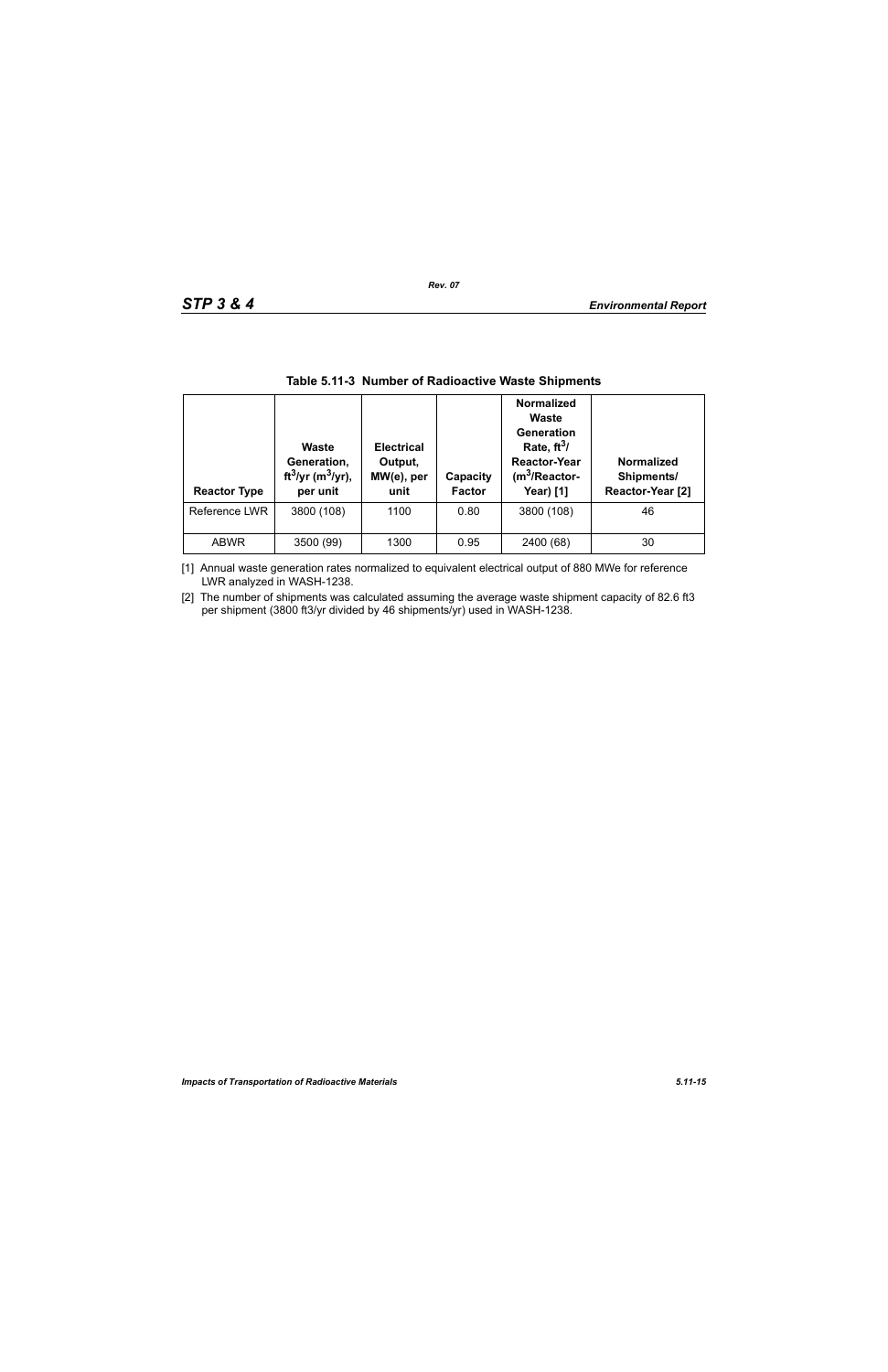| <b>Reactor Type</b> | <b>Waste</b><br>Generation,<br>ft <sup>3</sup> /yr (m <sup>3</sup> /yr),<br>per unit | <b>Electrical</b><br>Output,<br>MW(e), per<br>unit | Capacity<br><b>Factor</b> | <b>Normalized</b><br>Waste<br>Generation<br>Rate, $ft^3/$<br><b>Reactor-Year</b><br>$(m3/Reactor-$<br><b>Year)</b> [1] | <b>Normalized</b><br>Shipments/<br>Reactor-Year [2] |
|---------------------|--------------------------------------------------------------------------------------|----------------------------------------------------|---------------------------|------------------------------------------------------------------------------------------------------------------------|-----------------------------------------------------|
| Reference LWR       | 3800 (108)                                                                           | 1100                                               | 0.80                      | 3800 (108)                                                                                                             | 46                                                  |
| <b>ABWR</b>         | 3500 (99)                                                                            | 1300                                               | 0.95                      | 2400 (68)                                                                                                              | 30                                                  |

### **Table 5.11-3 Number of Radioactive Waste Shipments**

[1] Annual waste generation rates normalized to equivalent electrical output of 880 MWe for reference LWR analyzed in WASH-1238.

[2] The number of shipments was calculated assuming the average waste shipment capacity of 82.6 ft3 per shipment (3800 ft3/yr divided by 46 shipments/yr) used in WASH-1238.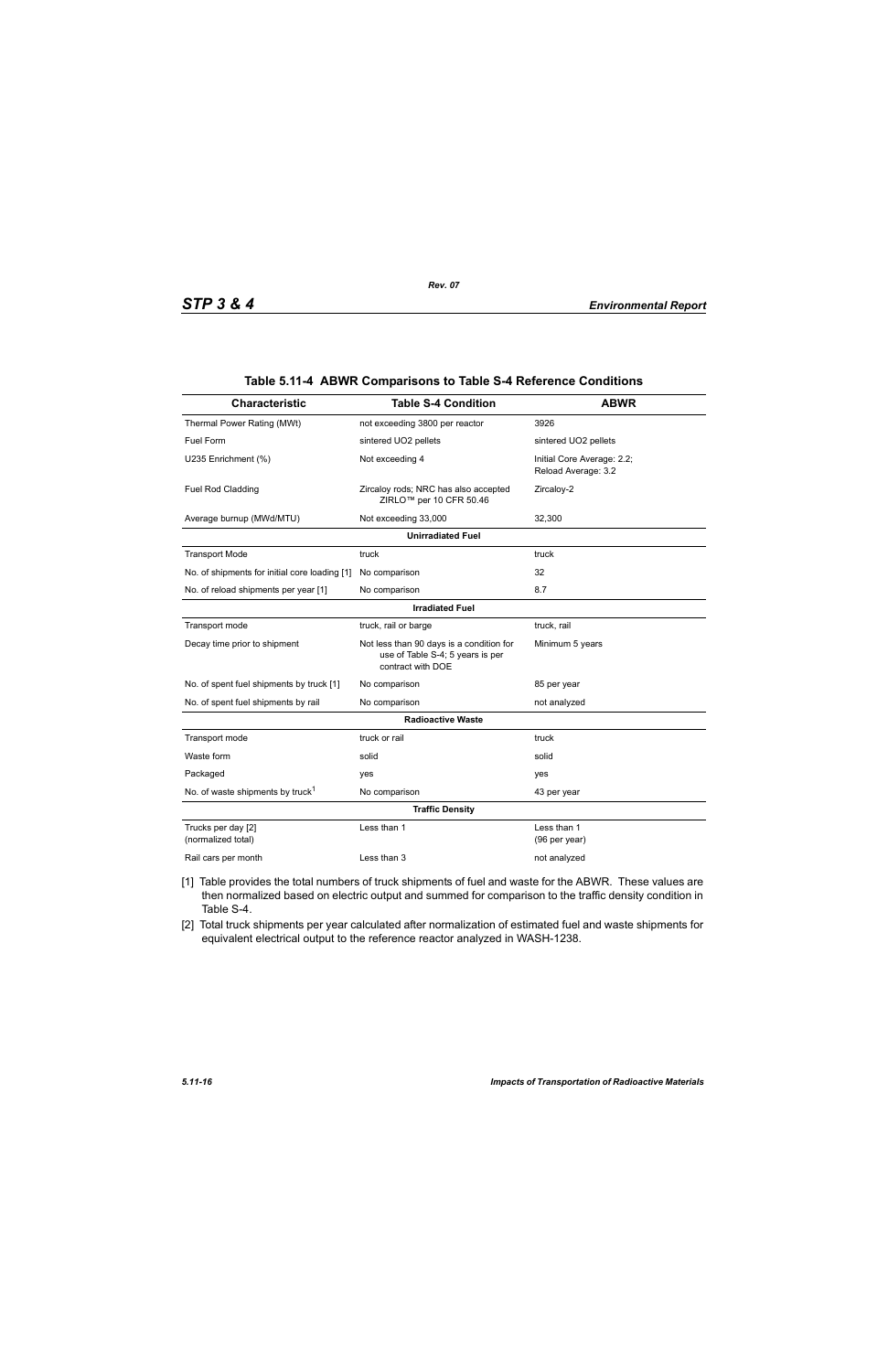| <b>Characteristic</b>                         | <b>Table S-4 Condition</b>                                                                        | <b>ABWR</b>                                       |  |  |  |  |
|-----------------------------------------------|---------------------------------------------------------------------------------------------------|---------------------------------------------------|--|--|--|--|
| Thermal Power Rating (MWt)                    | not exceeding 3800 per reactor                                                                    | 3926                                              |  |  |  |  |
| Fuel Form                                     | sintered UO2 pellets                                                                              | sintered UO2 pellets                              |  |  |  |  |
| U235 Enrichment (%)                           | Not exceeding 4                                                                                   | Initial Core Average: 2.2;<br>Reload Average: 3.2 |  |  |  |  |
| Fuel Rod Cladding                             | Zircaloy rods; NRC has also accepted<br>ZIRLO <sup>™</sup> per 10 CFR 50.46                       | Zircaloy-2                                        |  |  |  |  |
| Average burnup (MWd/MTU)                      | Not exceeding 33,000                                                                              | 32,300                                            |  |  |  |  |
|                                               | <b>Unirradiated Fuel</b>                                                                          |                                                   |  |  |  |  |
| <b>Transport Mode</b>                         | truck                                                                                             | truck                                             |  |  |  |  |
| No. of shipments for initial core loading [1] | No comparison                                                                                     | 32                                                |  |  |  |  |
| No. of reload shipments per year [1]          | No comparison                                                                                     | 8.7                                               |  |  |  |  |
| <b>Irradiated Fuel</b>                        |                                                                                                   |                                                   |  |  |  |  |
| Transport mode                                | truck, rail or barge                                                                              | truck, rail                                       |  |  |  |  |
| Decay time prior to shipment                  | Not less than 90 days is a condition for<br>use of Table S-4; 5 years is per<br>contract with DOE | Minimum 5 years                                   |  |  |  |  |
| No. of spent fuel shipments by truck [1]      | No comparison                                                                                     | 85 per year                                       |  |  |  |  |
| No. of spent fuel shipments by rail           | No comparison                                                                                     | not analyzed                                      |  |  |  |  |
|                                               | <b>Radioactive Waste</b>                                                                          |                                                   |  |  |  |  |
| Transport mode                                | truck or rail                                                                                     | truck                                             |  |  |  |  |
| Waste form                                    | solid                                                                                             | solid                                             |  |  |  |  |
| Packaged                                      | yes                                                                                               | yes                                               |  |  |  |  |
| No. of waste shipments by truck <sup>1</sup>  | No comparison                                                                                     | 43 per year                                       |  |  |  |  |
|                                               | <b>Traffic Density</b>                                                                            |                                                   |  |  |  |  |
| Trucks per day [2]<br>(normalized total)      | Less than 1                                                                                       | Less than 1<br>(96 per year)                      |  |  |  |  |
| Rail cars per month                           | Less than 3                                                                                       | not analyzed                                      |  |  |  |  |

#### **Table 5.11-4 ABWR Comparisons to Table S-4 Reference Conditions**

- [1] Table provides the total numbers of truck shipments of fuel and waste for the ABWR. These values are then normalized based on electric output and summed for comparison to the traffic density condition in Table S-4.
- [2] Total truck shipments per year calculated after normalization of estimated fuel and waste shipments for equivalent electrical output to the reference reactor analyzed in WASH-1238.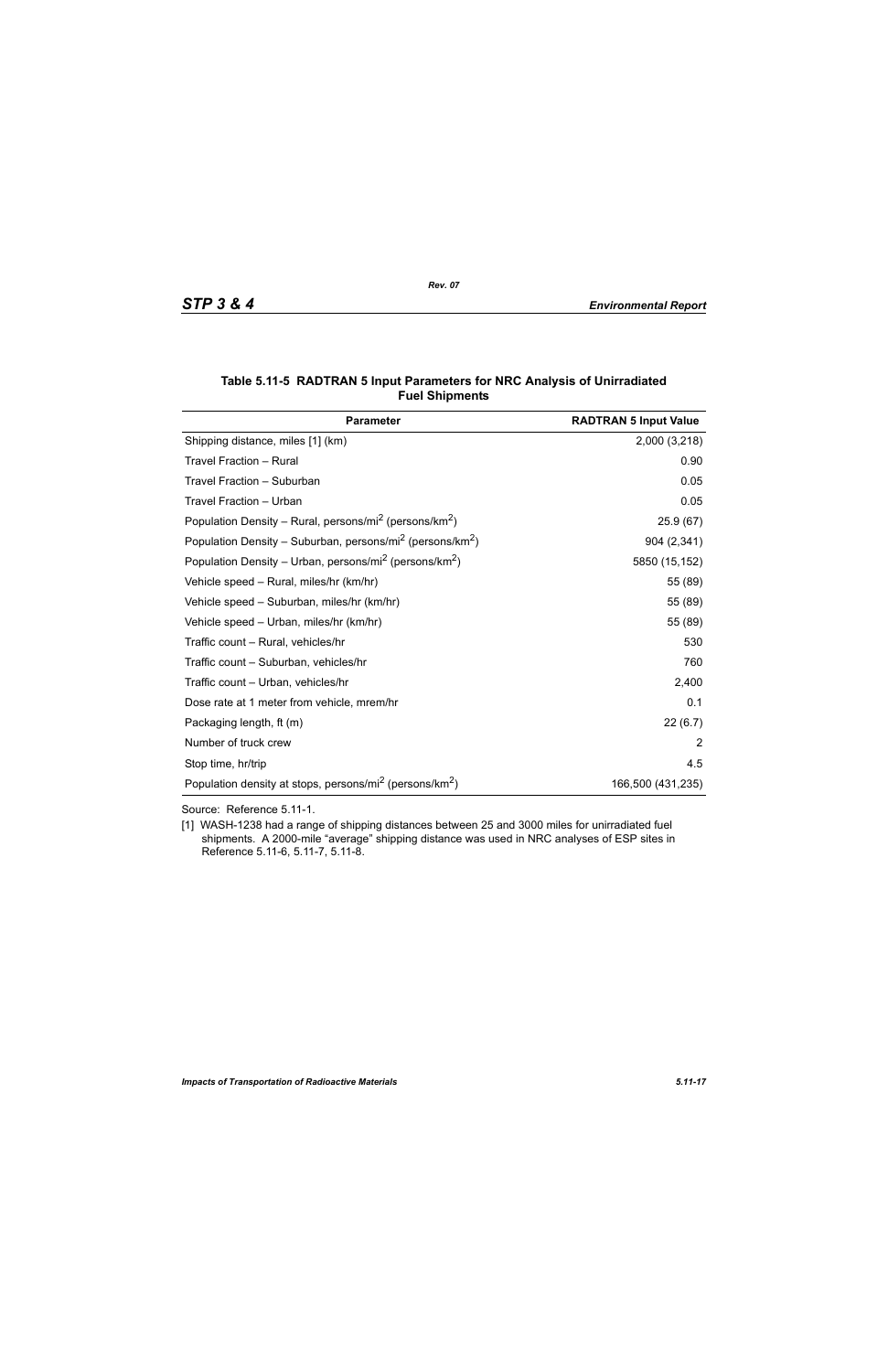| <b>Parameter</b>                                                                  | <b>RADTRAN 5 Input Value</b> |
|-----------------------------------------------------------------------------------|------------------------------|
| Shipping distance, miles [1] (km)                                                 | 2,000 (3,218)                |
| Travel Fraction - Rural                                                           | 0.90                         |
| Travel Fraction - Suburban                                                        | 0.05                         |
| Travel Fraction - Urban                                                           | 0.05                         |
| Population Density – Rural, persons/mi <sup>2</sup> (persons/km <sup>2</sup> )    | 25.9(67)                     |
| Population Density – Suburban, persons/mi <sup>2</sup> (persons/km <sup>2</sup> ) | 904 (2,341)                  |
| Population Density – Urban, persons/mi <sup>2</sup> (persons/km <sup>2</sup> )    | 5850 (15,152)                |
| Vehicle speed - Rural, miles/hr (km/hr)                                           | 55 (89)                      |
| Vehicle speed - Suburban, miles/hr (km/hr)                                        | 55 (89)                      |
| Vehicle speed - Urban, miles/hr (km/hr)                                           | 55 (89)                      |
| Traffic count - Rural, vehicles/hr                                                | 530                          |
| Traffic count - Suburban, vehicles/hr                                             | 760                          |
| Traffic count - Urban, vehicles/hr                                                | 2,400                        |
| Dose rate at 1 meter from vehicle, mrem/hr                                        | 0.1                          |
| Packaging length, ft (m)                                                          | 22(6.7)                      |
| Number of truck crew                                                              | 2                            |
| Stop time, hr/trip                                                                | 4.5                          |
| Population density at stops, persons/mi <sup>2</sup> (persons/km <sup>2</sup> )   | 166,500 (431,235)            |

#### **Table 5.11-5 RADTRAN 5 Input Parameters for NRC Analysis of Unirradiated Fuel Shipments**

Source: Reference 5.11-1.

[1] WASH-1238 had a range of shipping distances between 25 and 3000 miles for unirradiated fuel shipments. A 2000-mile "average" shipping distance was used in NRC analyses of ESP sites in Reference 5.11-6, 5.11-7, 5.11-8.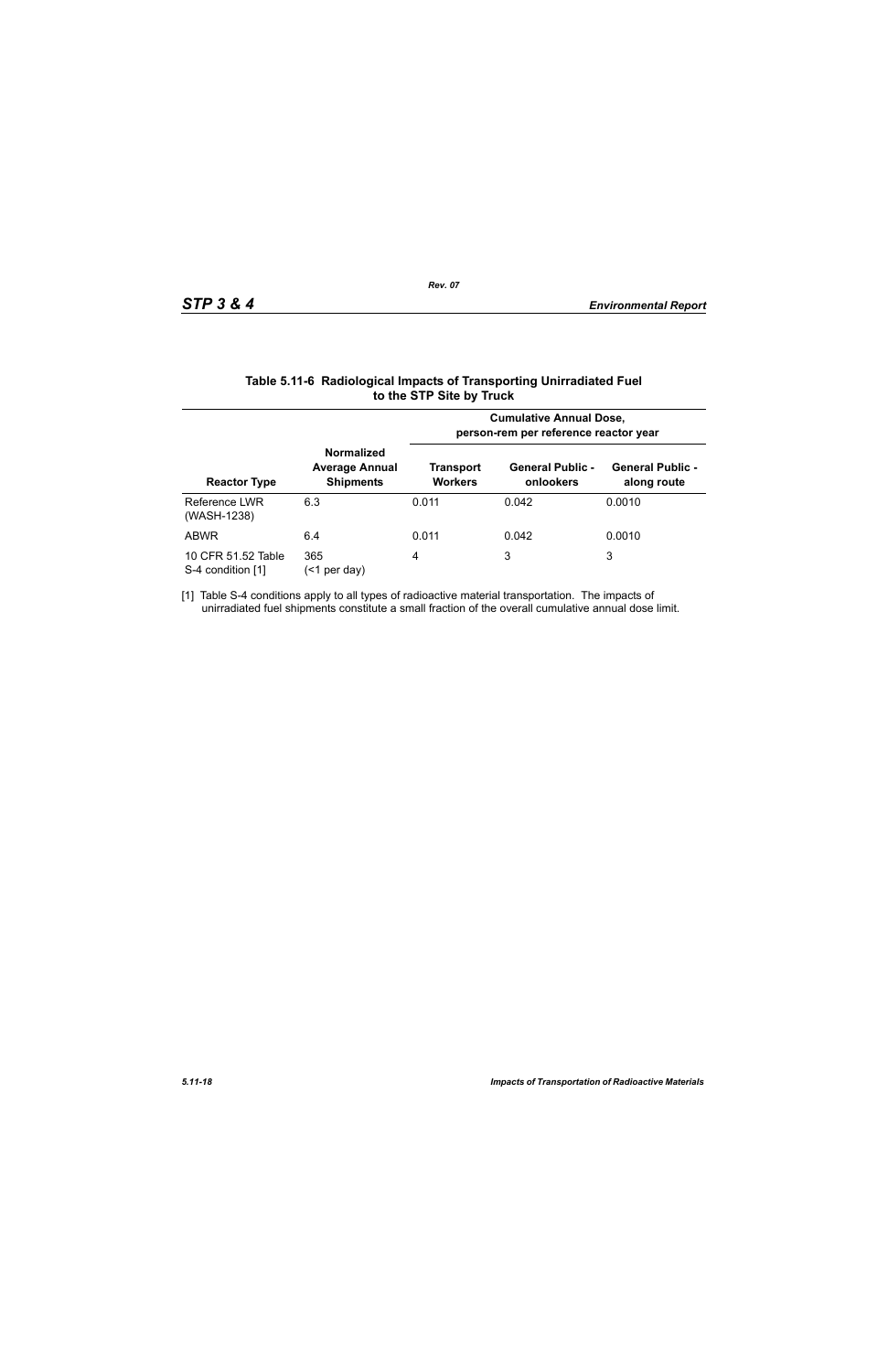|                                         |                                                                | <b>Cumulative Annual Dose,</b><br>person-rem per reference reactor year |                                      |                                        |  |  |
|-----------------------------------------|----------------------------------------------------------------|-------------------------------------------------------------------------|--------------------------------------|----------------------------------------|--|--|
| <b>Reactor Type</b>                     | <b>Normalized</b><br><b>Average Annual</b><br><b>Shipments</b> | Transport<br><b>Workers</b>                                             | <b>General Public -</b><br>onlookers | <b>General Public -</b><br>along route |  |  |
| Reference LWR<br>(WASH-1238)            | 6.3                                                            | 0.011                                                                   | 0.042                                | 0.0010                                 |  |  |
| <b>ABWR</b>                             | 6.4                                                            | 0.011                                                                   | 0.042                                | 0.0010                                 |  |  |
| 10 CFR 51.52 Table<br>S-4 condition [1] | 365<br>per day)<br>(<1                                         | 4                                                                       | 3                                    | 3                                      |  |  |

#### **Table 5.11-6 Radiological Impacts of Transporting Unirradiated Fuel to the STP Site by Truck**

[1] Table S-4 conditions apply to all types of radioactive material transportation. The impacts of unirradiated fuel shipments constitute a small fraction of the overall cumulative annual dose limit.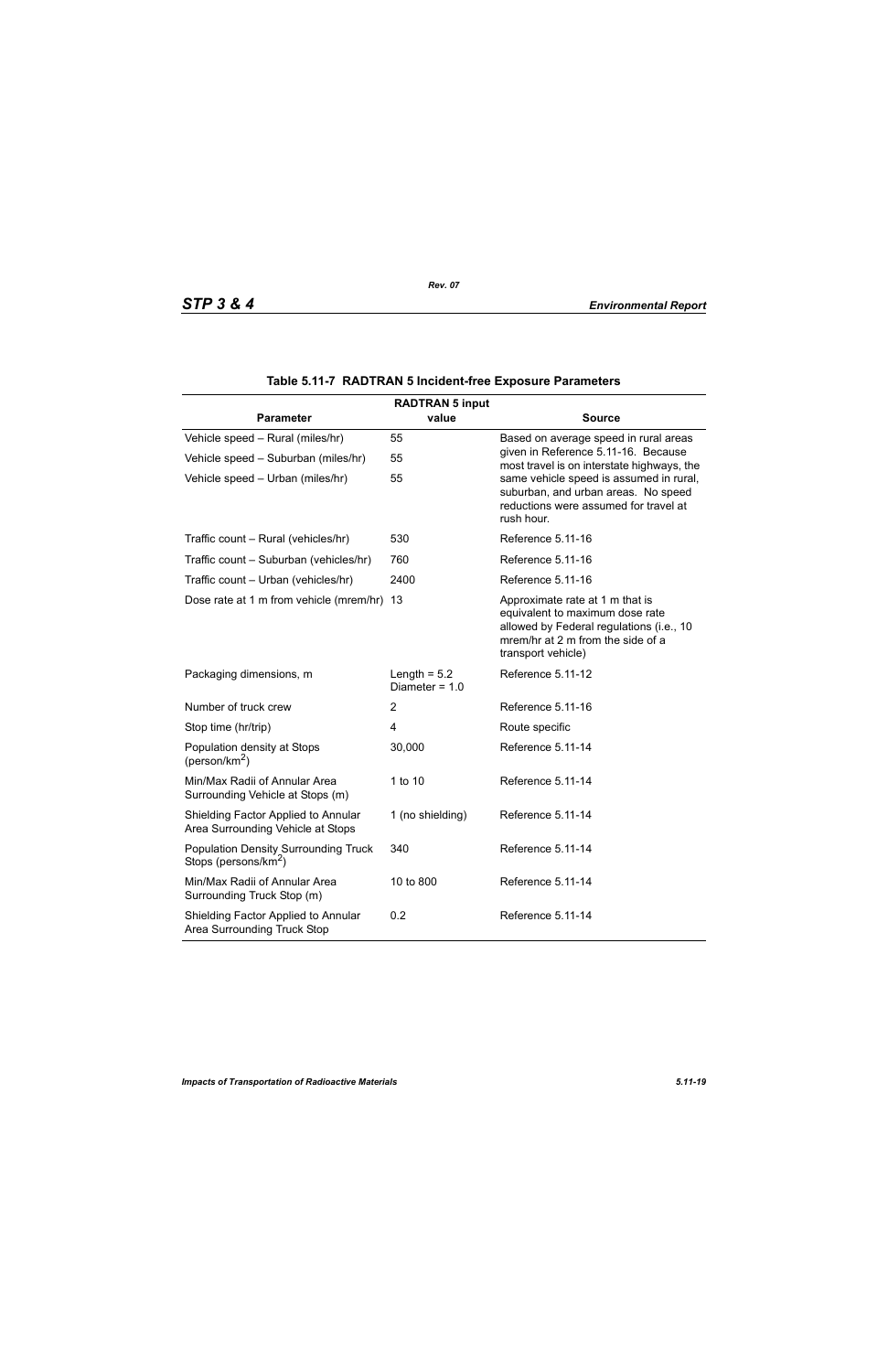|                                                                                 | <b>RADTRAN 5 input</b>             |                                                                                                                                                                           |  |  |  |  |  |
|---------------------------------------------------------------------------------|------------------------------------|---------------------------------------------------------------------------------------------------------------------------------------------------------------------------|--|--|--|--|--|
| <b>Parameter</b>                                                                | value                              | <b>Source</b>                                                                                                                                                             |  |  |  |  |  |
| Vehicle speed - Rural (miles/hr)                                                | 55                                 | Based on average speed in rural areas                                                                                                                                     |  |  |  |  |  |
| Vehicle speed - Suburban (miles/hr)                                             | 55                                 | given in Reference 5.11-16. Because<br>most travel is on interstate highways, the                                                                                         |  |  |  |  |  |
| Vehicle speed - Urban (miles/hr)                                                | 55                                 | same vehicle speed is assumed in rural,<br>suburban, and urban areas. No speed<br>reductions were assumed for travel at<br>rush hour.                                     |  |  |  |  |  |
| Traffic count - Rural (vehicles/hr)                                             | 530                                | Reference 5.11-16                                                                                                                                                         |  |  |  |  |  |
| Traffic count - Suburban (vehicles/hr)                                          | 760                                | Reference 5.11-16                                                                                                                                                         |  |  |  |  |  |
| Traffic count - Urban (vehicles/hr)                                             | 2400                               | Reference 5.11-16                                                                                                                                                         |  |  |  |  |  |
| Dose rate at 1 m from vehicle (mrem/hr) 13                                      |                                    | Approximate rate at 1 m that is<br>equivalent to maximum dose rate<br>allowed by Federal regulations (i.e., 10<br>mrem/hr at 2 m from the side of a<br>transport vehicle) |  |  |  |  |  |
| Packaging dimensions, m                                                         | Length = $5.2$<br>Diameter = $1.0$ | Reference 5.11-12                                                                                                                                                         |  |  |  |  |  |
| Number of truck crew                                                            | $\overline{2}$                     | Reference 5.11-16                                                                                                                                                         |  |  |  |  |  |
| Stop time (hr/trip)                                                             | 4                                  | Route specific                                                                                                                                                            |  |  |  |  |  |
| Population density at Stops<br>(person/km <sup>2</sup> )                        | 30,000                             | Reference 5.11-14                                                                                                                                                         |  |  |  |  |  |
| Min/Max Radii of Annular Area<br>Surrounding Vehicle at Stops (m)               | 1 to 10                            | Reference 5.11-14                                                                                                                                                         |  |  |  |  |  |
| Shielding Factor Applied to Annular<br>Area Surrounding Vehicle at Stops        | 1 (no shielding)                   | Reference 5.11-14                                                                                                                                                         |  |  |  |  |  |
| <b>Population Density Surrounding Truck</b><br>Stops (persons/km <sup>2</sup> ) | 340                                | Reference 5.11-14                                                                                                                                                         |  |  |  |  |  |
| Min/Max Radii of Annular Area<br>Surrounding Truck Stop (m)                     | 10 to 800                          | Reference 5.11-14                                                                                                                                                         |  |  |  |  |  |
| Shielding Factor Applied to Annular<br>Area Surrounding Truck Stop              | 0.2                                | Reference 5.11-14                                                                                                                                                         |  |  |  |  |  |

|  |  | Table 5.11-7 RADTRAN 5 Incident-free Exposure Parameters |  |  |
|--|--|----------------------------------------------------------|--|--|
|--|--|----------------------------------------------------------|--|--|